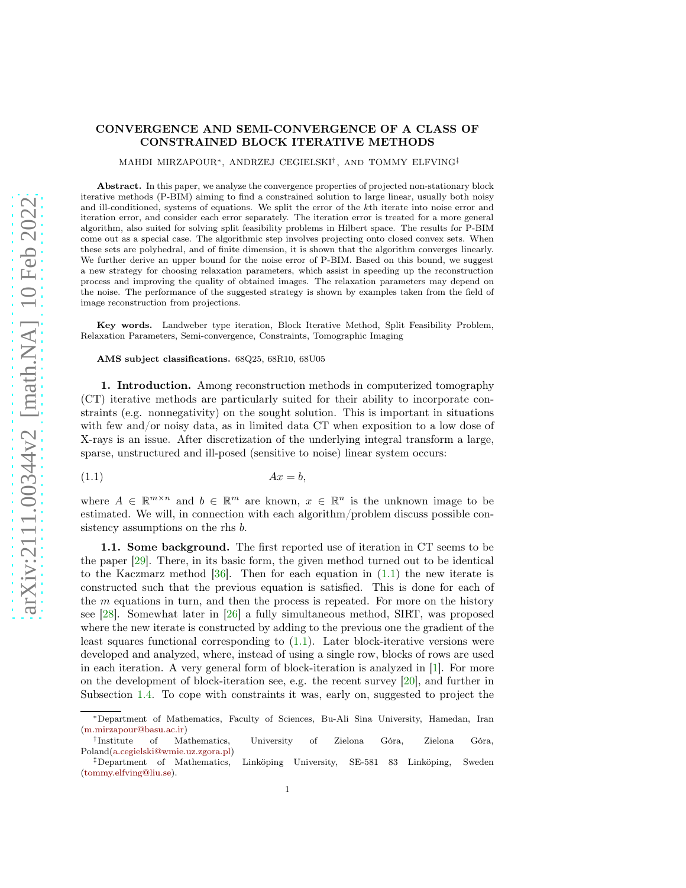## CONVERGENCE AND SEMI-CONVERGENCE OF A CLASS OF CONSTRAINED BLOCK ITERATIVE METHODS

MAHDI MIRZAPOUR<sup>∗</sup> , ANDRZEJ CEGIELSKI† , AND TOMMY ELFVING‡

Abstract. In this paper, we analyze the convergence properties of projected non-stationary block iterative methods (P-BIM) aiming to find a constrained solution to large linear, usually both noisy and ill-conditioned, systems of equations. We split the error of the kth iterate into noise error and iteration error, and consider each error separately. The iteration error is treated for a more general algorithm, also suited for solving split feasibility problems in Hilbert space. The results for P-BIM come out as a special case. The algorithmic step involves projecting onto closed convex sets. When these sets are polyhedral, and of finite dimension, it is shown that the algorithm converges linearly. We further derive an upper bound for the noise error of P-BIM. Based on this bound, we suggest a new strategy for choosing relaxation parameters, which assist in speeding up the reconstruction process and improving the quality of obtained images. The relaxation parameters may depend on the noise. The performance of the suggested strategy is shown by examples taken from the field of image reconstruction from projections.

Key words. Landweber type iteration, Block Iterative Method, Split Feasibility Problem, Relaxation Parameters, Semi-convergence, Constraints, Tomographic Imaging

## AMS subject classifications. 68Q25, 68R10, 68U05

1. Introduction. Among reconstruction methods in computerized tomography (CT) iterative methods are particularly suited for their ability to incorporate constraints (e.g. nonnegativity) on the sought solution. This is important in situations with few and/or noisy data, as in limited data CT when exposition to a low dose of X-rays is an issue. After discretization of the underlying integral transform a large, sparse, unstructured and ill-posed (sensitive to noise) linear system occurs:

<span id="page-0-0"></span>
$$
(1.1) \t\t Ax = b,
$$

where  $A \in \mathbb{R}^{m \times n}$  and  $b \in \mathbb{R}^m$  are known,  $x \in \mathbb{R}^n$  is the unknown image to be estimated. We will, in connection with each algorithm/problem discuss possible consistency assumptions on the rhs  $b$ .

1.1. Some background. The first reported use of iteration in CT seems to be the paper [\[29\]](#page-21-0). There, in its basic form, the given method turned out to be identical to the Kaczmarz method  $[36]$ . Then for each equation in  $(1.1)$  the new iterate is constructed such that the previous equation is satisfied. This is done for each of the  $m$  equations in turn, and then the process is repeated. For more on the history see [\[28\]](#page-21-1). Somewhat later in [\[26\]](#page-21-2) a fully simultaneous method, SIRT, was proposed where the new iterate is constructed by adding to the previous one the gradient of the least squares functional corresponding to  $(1.1)$ . Later block-iterative versions were developed and analyzed, where, instead of using a single row, blocks of rows are used in each iteration. A very general form of block-iteration is analyzed in [\[1\]](#page-20-0). For more on the development of block-iteration see, e.g. the recent survey [\[20\]](#page-21-3), and further in Subsection [1.4.](#page-2-0) To cope with constraints it was, early on, suggested to project the

<sup>∗</sup>Department of Mathematics, Faculty of Sciences, Bu-Ali Sina University, Hamedan, Iran [\(m.mirzapour@basu.ac.ir\)](mailto:m.mirzapour@basu.ac.ir)

<sup>†</sup> Mathematics, University of Zielona Góra, Zielona Góra, Poland[\(a.cegielski@wmie.uz.zgora.pl\)](mailto:a.cegielski@wmie.uz.zgora.pl)

<sup>‡</sup>Department of Mathematics, Linköping University, SE-581 83 Linköping, Sweden [\(tommy.elfving@liu.se\)](mailto:tommy.elfving@liu.se).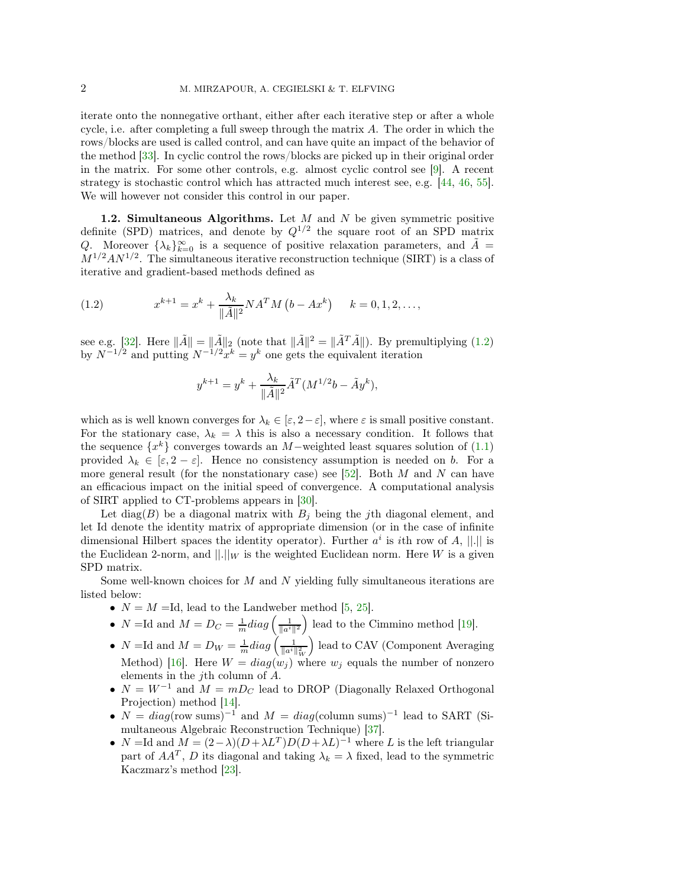iterate onto the nonnegative orthant, either after each iterative step or after a whole cycle, i.e. after completing a full sweep through the matrix  $A$ . The order in which the rows/blocks are used is called control, and can have quite an impact of the behavior of the method [\[33\]](#page-22-1). In cyclic control the rows/blocks are picked up in their original order in the matrix. For some other controls, e.g. almost cyclic control see [\[9\]](#page-21-4). A recent strategy is stochastic control which has attracted much interest see, e.g. [\[44,](#page-22-2) [46,](#page-22-3) [55\]](#page-22-4). We will however not consider this control in our paper.

<span id="page-1-1"></span>1.2. Simultaneous Algorithms. Let  $M$  and  $N$  be given symmetric positive definite (SPD) matrices, and denote by  $Q^{1/2}$  the square root of an SPD matrix Q. Moreover  $\{\lambda_k\}_{k=0}^{\infty}$  is a sequence of positive relaxation parameters, and  $\tilde{A} =$  $M^{1/2}AN^{1/2}$ . The simultaneous iterative reconstruction technique (SIRT) is a class of iterative and gradient-based methods defined as

<span id="page-1-0"></span>(1.2) 
$$
x^{k+1} = x^k + \frac{\lambda_k}{\|\tilde{A}\|^2} N A^T M \left(b - Ax^k\right) \quad k = 0, 1, 2, \dots,
$$

see e.g. [\[32\]](#page-21-5). Here  $\|\tilde{A}\| = \|\tilde{A}\|_2$  (note that  $\|\tilde{A}\|^2 = \|\tilde{A}^T\tilde{A}\|$ ). By premultiplying [\(1.2\)](#page-1-0) by  $N^{-1/2}$  and putting  $N^{-1/2}x^k = y^k$  one gets the equivalent iteration

$$
y^{k+1} = y^k + \frac{\lambda_k}{\|\tilde{A}\|^2} \tilde{A}^T (M^{1/2}b - \tilde{A}y^k),
$$

which as is well known converges for  $\lambda_k \in [\varepsilon, 2-\varepsilon]$ , where  $\varepsilon$  is small positive constant. For the stationary case,  $\lambda_k = \lambda$  this is also a necessary condition. It follows that the sequence  $\{x^k\}$  converges towards an M-weighted least squares solution of  $(1.1)$ provided  $\lambda_k \in [\varepsilon, 2-\varepsilon]$ . Hence no consistency assumption is needed on b. For a more general result (for the nonstationary case) see [\[52\]](#page-22-5). Both  $M$  and  $N$  can have an efficacious impact on the initial speed of convergence. A computational analysis of SIRT applied to CT-problems appears in [\[30\]](#page-21-6).

Let diag(B) be a diagonal matrix with  $B_i$  being the *j*th diagonal element, and let Id denote the identity matrix of appropriate dimension (or in the case of infinite dimensional Hilbert spaces the identity operator). Further  $a^i$  is *i*th row of A,  $||.||$  is the Euclidean 2-norm, and  $\|.\|_W$  is the weighted Euclidean norm. Here W is a given SPD matrix.

Some well-known choices for  $M$  and  $N$  yielding fully simultaneous iterations are listed below:

- $N = M = Id$ , lead to the Landweber method [\[5,](#page-21-7) [25\]](#page-21-8).
- N =Id and  $M = D_C = \frac{1}{m} diag\left(\frac{1}{\|a^i\|^2}\right)$  lead to the Cimmino method [\[19\]](#page-21-9).
- *N* = Id and  $M = D_W = \frac{1}{m} diag \left( \frac{1}{\|a^i\|_W^2} \right)$  lead to CAV (Component Averaging Method) [\[16\]](#page-21-10). Here  $W = diag(w_j)$  where  $w_j$  equals the number of nonzero elements in the jth column of A.
- $N = W^{-1}$  and  $M = mD_C$  lead to DROP (Diagonally Relaxed Orthogonal Projection) method [\[14\]](#page-21-11).
- $N = diag(\text{row sums})^{-1}$  and  $M = diag(\text{column sums})^{-1}$  lead to SART (Simultaneous Algebraic Reconstruction Technique) [\[37\]](#page-22-6).
- $N = \text{Id}$  and  $M = (2 \lambda)(D + \lambda L^T)D(D + \lambda L)^{-1}$  where L is the left triangular part of  $AA<sup>T</sup>$ , D its diagonal and taking  $\lambda_k = \lambda$  fixed, lead to the symmetric Kaczmarz's method [\[23\]](#page-21-12).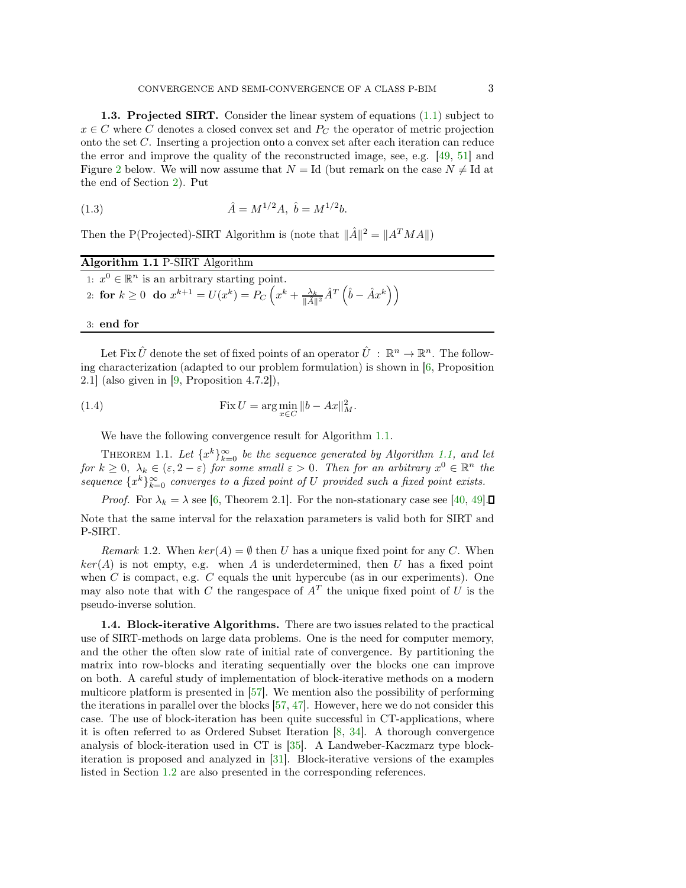1.3. Projected SIRT. Consider the linear system of equations [\(1.1\)](#page-0-0) subject to  $x \in C$  where C denotes a closed convex set and  $P_C$  the operator of metric projection onto the set C. Inserting a projection onto a convex set after each iteration can reduce the error and improve the quality of the reconstructed image, see, e.g. [\[49,](#page-22-7) [51\]](#page-22-8) and Figure [2](#page-16-0) below. We will now assume that  $N = Id$  (but remark on the case  $N \neq Id$  at the end of Section [2\)](#page-5-0). Put

(1.3) 
$$
\hat{A} = M^{1/2}A, \ \hat{b} = M^{1/2}b.
$$

Then the P(Projected)-SIRT Algorithm is (note that  $\|\hat{A}\|^2 = \|A^T M A\|$ )

<span id="page-2-1"></span>

| Algorithm 1.1 P-SIRT Algorithm |  |  |
|--------------------------------|--|--|
|                                |  |  |

| 1: $x^0 \in \mathbb{R}^n$ is an arbitrary starting point.                                                                                 |  |
|-------------------------------------------------------------------------------------------------------------------------------------------|--|
| 2: for $k \ge 0$ do $x^{k+1} = U(x^k) = P_C\left(x^k + \frac{\lambda_k}{\ \hat{A}\ ^2} \hat{A}^T\left(\hat{b} - \hat{A}x^k\right)\right)$ |  |

## 3: end for

Let Fix  $\hat{U}$  denote the set of fixed points of an operator  $\hat{U}$  :  $\mathbb{R}^n \to \mathbb{R}^n$ . The following characterization (adapted to our problem formulation) is shown in [\[6,](#page-21-13) Proposition 2.1] (also given in [\[9,](#page-21-4) Proposition 4.7.2]),

(1.4) 
$$
\operatorname{Fix} U = \arg\min_{x \in C} \|b - Ax\|_M^2.
$$

<span id="page-2-2"></span>We have the following convergence result for Algorithm [1.1.](#page-2-1)

THEOREM 1.1. Let  $\{x^k\}_{k=0}^{\infty}$  be the sequence generated by Algorithm [1.1,](#page-2-1) and let for  $k \geq 0$ ,  $\lambda_k \in (\varepsilon, 2-\varepsilon)$  for some small  $\varepsilon > 0$ . Then for an arbitrary  $x^0 \in \mathbb{R}^n$  the sequence  $\{x^k\}_{k=0}^{\infty}$  converges to a fixed point of U provided such a fixed point exists.

*Proof.* For  $\lambda_k = \lambda$  see [\[6,](#page-21-13) Theorem 2.1]. For the non-stationary case see [\[40,](#page-22-9) [49\]](#page-22-7). Note that the same interval for the relaxation parameters is valid both for SIRT and P-SIRT.

*Remark* 1.2. When  $ker(A) = \emptyset$  then U has a unique fixed point for any C. When  $ker(A)$  is not empty, e.g. when A is underdetermined, then U has a fixed point when C is compact, e.g. C equals the unit hypercube (as in our experiments). One may also note that with C the rangespace of  $A<sup>T</sup>$  the unique fixed point of U is the pseudo-inverse solution.

<span id="page-2-0"></span>1.4. Block-iterative Algorithms. There are two issues related to the practical use of SIRT-methods on large data problems. One is the need for computer memory, and the other the often slow rate of initial rate of convergence. By partitioning the matrix into row-blocks and iterating sequentially over the blocks one can improve on both. A careful study of implementation of block-iterative methods on a modern multicore platform is presented in [\[57\]](#page-22-10). We mention also the possibility of performing the iterations in parallel over the blocks [\[57,](#page-22-10) [47\]](#page-22-11). However, here we do not consider this case. The use of block-iteration has been quite successful in CT-applications, where it is often referred to as Ordered Subset Iteration [\[8,](#page-21-14) [34\]](#page-22-12). A thorough convergence analysis of block-iteration used in CT is [\[35\]](#page-22-13). A Landweber-Kaczmarz type blockiteration is proposed and analyzed in [\[31\]](#page-21-15). Block-iterative versions of the examples listed in Section [1.2](#page-1-1) are also presented in the corresponding references.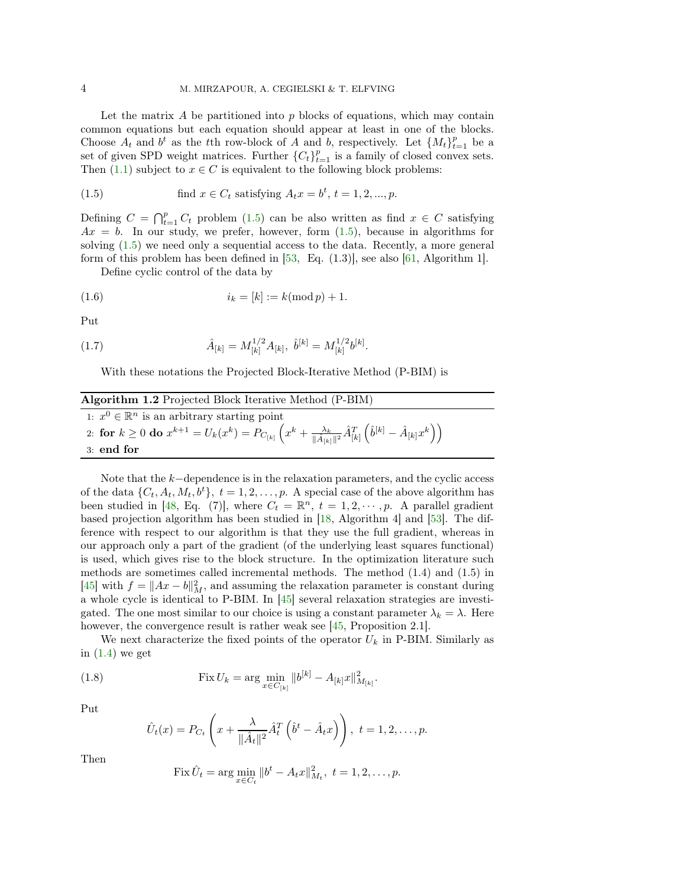Let the matrix  $A$  be partitioned into  $p$  blocks of equations, which may contain common equations but each equation should appear at least in one of the blocks. Choose  $A_t$  and  $b^t$  as the tth row-block of A and b, respectively. Let  $\{M_t\}_{t=1}^p$  be a set of given SPD weight matrices. Further  ${C<sub>t</sub>}_{t=1}^p$  is a family of closed convex sets. Then [\(1.1\)](#page-0-0) subject to  $x \in C$  is equivalent to the following block problems:

<span id="page-3-0"></span>(1.5) find 
$$
x \in C_t
$$
 satisfying  $A_t x = b^t, t = 1, 2, ..., p$ .

Defining  $C = \bigcap_{t=1}^p C_t$  problem [\(1.5\)](#page-3-0) can be also written as find  $x \in C$  satisfying  $Ax = b$ . In our study, we prefer, however, form  $(1.5)$ , because in algorithms for solving [\(1.5\)](#page-3-0) we need only a sequential access to the data. Recently, a more general form of this problem has been defined in  $[53, \text{ Eq. } (1.3)]$ , see also  $[61, \text{ Algorithm } 1]$ .

Define cyclic control of the data by

(1.6) 
$$
i_k = [k] := k(\text{mod } p) + 1.
$$

Put

(1.7) 
$$
\hat{A}_{[k]} = M_{[k]}^{1/2} A_{[k]}, \ \hat{b}^{[k]} = M_{[k]}^{1/2} b^{[k]}.
$$

With these notations the Projected Block-Iterative Method (P-BIM) is

<span id="page-3-1"></span>

| Algorithm 1.2 Projected Block Iterative Method (P-BIM)                                                                                                                                                    |
|-----------------------------------------------------------------------------------------------------------------------------------------------------------------------------------------------------------|
| 1: $x^0 \in \mathbb{R}^n$ is an arbitrary starting point                                                                                                                                                  |
| $12. \ \ \text{for} \ \ k\geq 0 \ \textbf{do} \ x^{k+1} = U_k(x^k) = P_{C_{[k]}}\left(x^k + \frac{\lambda_k}{\ \hat{A}_{[k]}\ ^2}\hat{A}_{[k]}^T\left(\hat{b}^{[k]} - \hat{A}_{[k]}x^k\right)\right) \ .$ |
| $3:$ end for                                                                                                                                                                                              |

Note that the k−dependence is in the relaxation parameters, and the cyclic access of the data  $\{C_t, A_t, M_t, b^t\}, t = 1, 2, \ldots, p$ . A special case of the above algorithm has been studied in [\[48,](#page-22-16) Eq. (7)], where  $C_t = \mathbb{R}^n$ ,  $t = 1, 2, \dots, p$ . A parallel gradient based projection algorithm has been studied in [\[18,](#page-21-16) Algorithm 4] and [\[53\]](#page-22-14). The difference with respect to our algorithm is that they use the full gradient, whereas in our approach only a part of the gradient (of the underlying least squares functional) is used, which gives rise to the block structure. In the optimization literature such methods are sometimes called incremental methods. The method  $(1.4)$  and  $(1.5)$  in [\[45\]](#page-22-17) with  $f = ||Ax - b||_M^2$ , and assuming the relaxation parameter is constant during a whole cycle is identical to P-BIM. In [\[45\]](#page-22-17) several relaxation strategies are investigated. The one most similar to our choice is using a constant parameter  $\lambda_k = \lambda$ . Here however, the convergence result is rather weak see [\[45,](#page-22-17) Proposition 2.1].

We next characterize the fixed points of the operator  $U_k$  in P-BIM. Similarly as in  $(1.4)$  we get

(1.8) 
$$
\operatorname{Fix} U_k = \arg \min_{x \in C_{[k]}} \|b^{[k]} - A_{[k]}x\|_{M_{[k]}}^2.
$$

Put

$$
\hat{U}_t(x) = P_{C_t}\left(x + \frac{\lambda}{\|\hat{A}_t\|^2} \hat{A}_t^T\left(\hat{b}^t - \hat{A}_t x\right)\right), \ t = 1, 2, \dots, p.
$$

Then

Fix 
$$
\hat{U}_t = \arg\min_{x \in C_t} ||b^t - A_t x||_{M_t}^2
$$
,  $t = 1, 2, ..., p$ .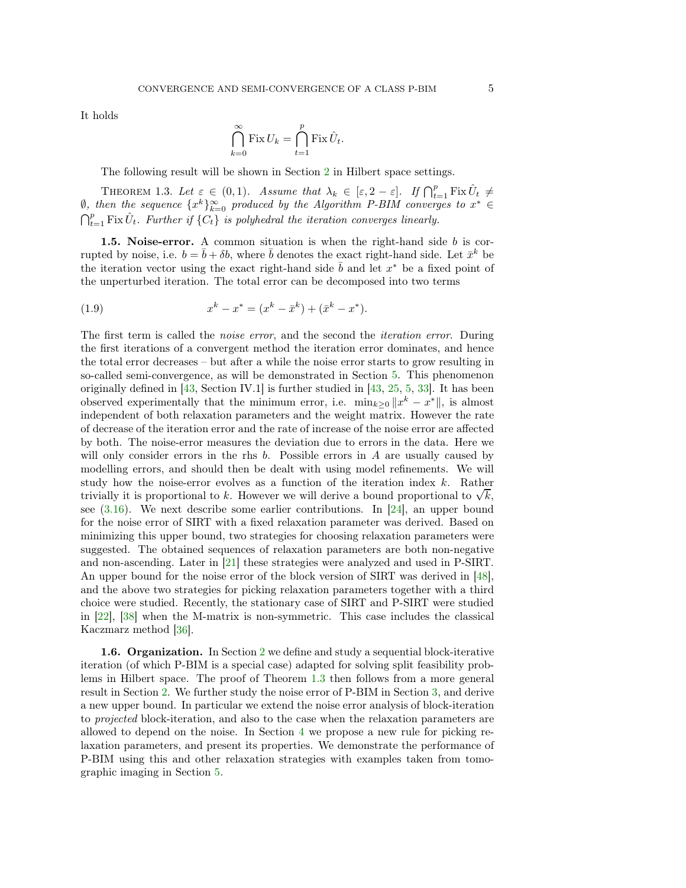It holds

<span id="page-4-0"></span>
$$
\bigcap_{k=0}^{\infty} \text{Fix } U_k = \bigcap_{t=1}^{p} \text{Fix } \hat{U}_t.
$$

The following result will be shown in Section [2](#page-5-0) in Hilbert space settings.

THEOREM 1.3. Let  $\varepsilon \in (0,1)$ . Assume that  $\lambda_k \in [\varepsilon, 2-\varepsilon]$ . If  $\bigcap_{t=1}^p \text{Fix } \hat{U}_t \neq$  $\emptyset$ , then the sequence  $\{x^k\}_{k=0}^{\infty}$  produced by the Algorithm P-BIM converges to  $x^* \in$  $\bigcap_{t=1}^p \text{Fix } \hat{U}_t$ . Further if  $\{C_t\}$  is polyhedral the iteration converges linearly.

**1.5. Noise-error.** A common situation is when the right-hand side  $b$  is corrupted by noise, i.e.  $b = \bar{b} + \delta b$ , where  $\bar{b}$  denotes the exact right-hand side. Let  $\bar{x}^k$  be the iteration vector using the exact right-hand side  $\bar{b}$  and let  $x^*$  be a fixed point of the unperturbed iteration. The total error can be decomposed into two terms

(1.9) 
$$
x^{k} - x^{*} = (x^{k} - \bar{x}^{k}) + (\bar{x}^{k} - x^{*}).
$$

The first term is called the noise error, and the second the iteration error. During the first iterations of a convergent method the iteration error dominates, and hence the total error decreases – but after a while the noise error starts to grow resulting in so-called semi-convergence, as will be demonstrated in Section [5.](#page-15-0) This phenomenon originally defined in [\[43,](#page-22-18) Section IV.1] is further studied in [\[43,](#page-22-18) [25,](#page-21-8) [5,](#page-21-7) [33\]](#page-22-1). It has been observed experimentally that the minimum error, i.e.  $\min_{k\geq 0} ||x^k - x^*||$ , is almost independent of both relaxation parameters and the weight matrix. However the rate of decrease of the iteration error and the rate of increase of the noise error are affected by both. The noise-error measures the deviation due to errors in the data. Here we will only consider errors in the rhs  $b$ . Possible errors in  $A$  are usually caused by modelling errors, and should then be dealt with using model refinements. We will study how the noise-error evolves as a function of the iteration index k. Rather trivially it is proportional to k. However we will derive a bound proportional to  $\sqrt{k}$ , see  $(3.16)$ . We next describe some earlier contributions. In [\[24\]](#page-21-17), an upper bound for the noise error of SIRT with a fixed relaxation parameter was derived. Based on minimizing this upper bound, two strategies for choosing relaxation parameters were suggested. The obtained sequences of relaxation parameters are both non-negative and non-ascending. Later in [\[21\]](#page-21-18) these strategies were analyzed and used in P-SIRT. An upper bound for the noise error of the block version of SIRT was derived in [\[48\]](#page-22-16), and the above two strategies for picking relaxation parameters together with a third choice were studied. Recently, the stationary case of SIRT and P-SIRT were studied in [\[22\]](#page-21-19), [\[38\]](#page-22-19) when the M-matrix is non-symmetric. This case includes the classical Kaczmarz method [\[36\]](#page-22-0).

1.6. Organization. In Section [2](#page-5-0) we define and study a sequential block-iterative iteration (of which P-BIM is a special case) adapted for solving split feasibility problems in Hilbert space. The proof of Theorem [1.3](#page-4-0) then follows from a more general result in Section [2.](#page-5-0) We further study the noise error of P-BIM in Section [3,](#page-9-0) and derive a new upper bound. In particular we extend the noise error analysis of block-iteration to projected block-iteration, and also to the case when the relaxation parameters are allowed to depend on the noise. In Section [4](#page-12-0) we propose a new rule for picking relaxation parameters, and present its properties. We demonstrate the performance of P-BIM using this and other relaxation strategies with examples taken from tomographic imaging in Section [5.](#page-15-0)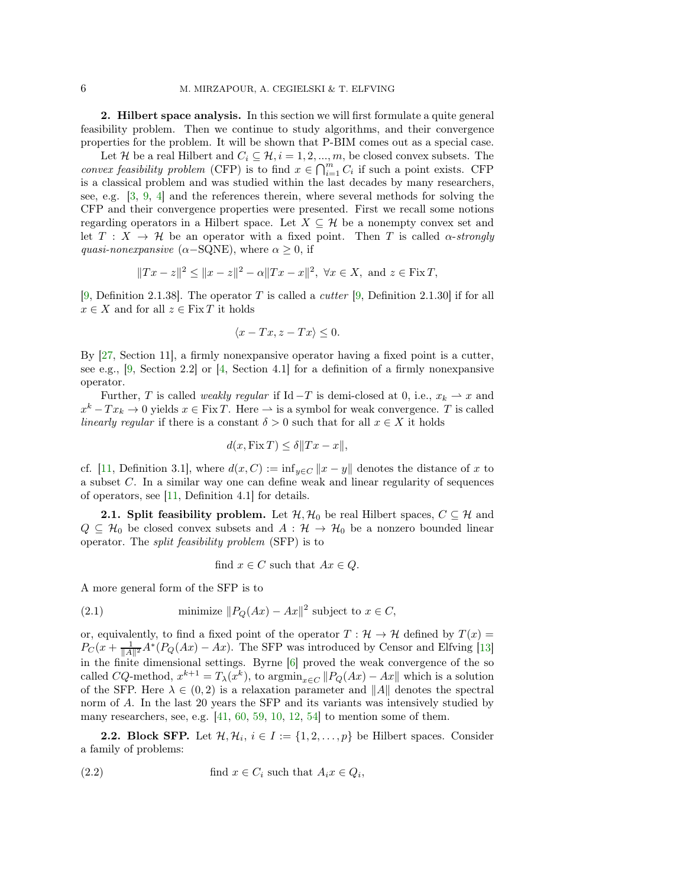<span id="page-5-0"></span>2. Hilbert space analysis. In this section we will first formulate a quite general feasibility problem. Then we continue to study algorithms, and their convergence properties for the problem. It will be shown that P-BIM comes out as a special case.

Let H be a real Hilbert and  $C_i \subseteq \mathcal{H}, i = 1, 2, ..., m$ , be closed convex subsets. The convex feasibility problem (CFP) is to find  $x \in \bigcap_{i=1}^m C_i$  if such a point exists. CFP is a classical problem and was studied within the last decades by many researchers, see, e.g. [\[3,](#page-20-1) [9,](#page-21-4) [4\]](#page-20-2) and the references therein, where several methods for solving the CFP and their convergence properties were presented. First we recall some notions regarding operators in a Hilbert space. Let  $X \subseteq \mathcal{H}$  be a nonempty convex set and let  $T : X \to \mathcal{H}$  be an operator with a fixed point. Then T is called  $\alpha$ -strongly quasi-nonexpansive ( $\alpha$ -SQNE), where  $\alpha > 0$ , if

$$
||Tx - z||^2 \le ||x - z||^2 - \alpha ||Tx - x||^2
$$
,  $\forall x \in X$ , and  $z \in \text{Fix } T$ ,

[\[9,](#page-21-4) Definition 2.1.38]. The operator T is called a *cutter* [9, Definition 2.1.30] if for all  $x \in X$  and for all  $z \in \text{Fix } T$  it holds

$$
\langle x - Tx, z - Tx \rangle \le 0.
$$

By [\[27,](#page-21-20) Section 11], a firmly nonexpansive operator having a fixed point is a cutter, see e.g.,  $[9, \text{Section } 2.2]$  or  $[4, \text{Section } 4.1]$  for a definition of a firmly nonexpansive operator.

Further, T is called *weakly regular* if Id  $-T$  is demi-closed at 0, i.e.,  $x_k \rightharpoonup x$  and  $x^k - Tx_k \to 0$  yields  $x \in \text{Fix } T$ . Here  $\to$  is a symbol for weak convergence. T is called linearly regular if there is a constant  $\delta > 0$  such that for all  $x \in X$  it holds

$$
d(x, \text{Fix } T) \le \delta \|Tx - x\|,
$$

cf. [\[11,](#page-21-21) Definition 3.1], where  $d(x, C) := \inf_{y \in C} ||x - y||$  denotes the distance of x to a subset C. In a similar way one can define weak and linear regularity of sequences of operators, see  $[11,$  Definition 4.1 for details.

**2.1. Split feasibility problem.** Let  $\mathcal{H}, \mathcal{H}_0$  be real Hilbert spaces,  $C \subseteq \mathcal{H}$  and  $Q \subseteq \mathcal{H}_0$  be closed convex subsets and  $A : \mathcal{H} \to \mathcal{H}_0$  be a nonzero bounded linear operator. The split feasibility problem (SFP) is to

<span id="page-5-2"></span>find 
$$
x \in C
$$
 such that  $Ax \in Q$ .

A more general form of the SFP is to

(2.1) minimize 
$$
||P_Q(Ax) - Ax||^2
$$
 subject to  $x \in C$ ,

or, equivalently, to find a fixed point of the operator  $T : \mathcal{H} \to \mathcal{H}$  defined by  $T(x) =$  $P_C(x+\frac{1}{\|A\|^2}A^*(P_Q(Ax)-Ax)$ . The SFP was introduced by Censor and Elfving [\[13\]](#page-21-22) in the finite dimensional settings. Byrne [\[6\]](#page-21-13) proved the weak convergence of the so called CQ-method,  $x^{k+1} = T_{\lambda}(x^k)$ , to  $\operatorname{argmin}_{x \in C} ||P_Q(Ax) - Ax||$  which is a solution of the SFP. Here  $\lambda \in (0, 2)$  is a relaxation parameter and ||A|| denotes the spectral norm of A. In the last 20 years the SFP and its variants was intensively studied by many researchers, see, e.g. [\[41,](#page-22-20) [60,](#page-22-21) [59,](#page-22-22) [10,](#page-21-23) [12,](#page-21-24) [54\]](#page-22-23) to mention some of them.

**2.2. Block SFP.** Let  $\mathcal{H}, \mathcal{H}_i, i \in I := \{1, 2, ..., p\}$  be Hilbert spaces. Consider a family of problems:

<span id="page-5-1"></span>(2.2) find 
$$
x \in C_i
$$
 such that  $A_ix \in Q_i$ ,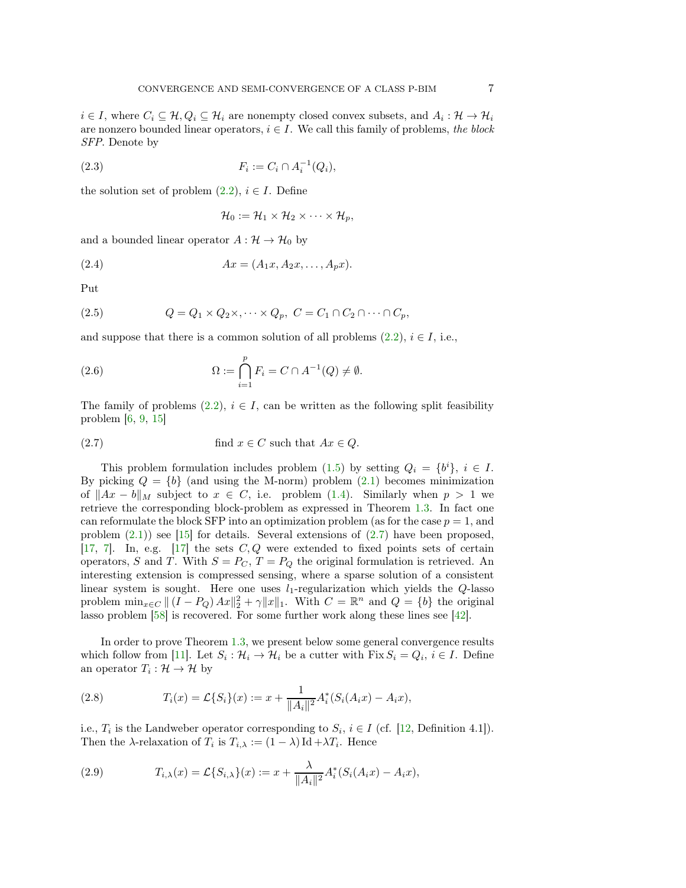$i \in I$ , where  $C_i \subseteq H$ ,  $Q_i \subseteq H_i$  are nonempty closed convex subsets, and  $A_i : H \to H_i$ are nonzero bounded linear operators,  $i \in I$ . We call this family of problems, the block SFP. Denote by

(2.3) 
$$
F_i := C_i \cap A_i^{-1}(Q_i),
$$

the solution set of problem  $(2.2)$ ,  $i \in I$ . Define

$$
\mathcal{H}_0 := \mathcal{H}_1 \times \mathcal{H}_2 \times \cdots \times \mathcal{H}_p,
$$

and a bounded linear operator  $A: \mathcal{H} \to \mathcal{H}_0$  by

(2.4) 
$$
Ax = (A_1x, A_2x, \dots, A_px).
$$

Put

(2.5) 
$$
Q = Q_1 \times Q_2 \times \ldots \times Q_p, \ C = C_1 \cap C_2 \cap \ldots \cap C_p,
$$

and suppose that there is a common solution of all problems  $(2.2)$ ,  $i \in I$ , i.e.,

<span id="page-6-1"></span>(2.6) 
$$
\Omega := \bigcap_{i=1}^p F_i = C \cap A^{-1}(Q) \neq \emptyset.
$$

The family of problems  $(2.2), i \in I$ , can be written as the following split feasibility problem  $[6, 9, 15]$  $[6, 9, 15]$  $[6, 9, 15]$  $[6, 9, 15]$ 

<span id="page-6-0"></span>(2.7) find 
$$
x \in C
$$
 such that  $Ax \in Q$ .

This problem formulation includes problem [\(1.5\)](#page-3-0) by setting  $Q_i = \{b^i\}, i \in I$ . By picking  $Q = \{b\}$  (and using the M-norm) problem  $(2.1)$  becomes minimization of  $||Ax - b||_M$  subject to  $x \in C$ , i.e. problem [\(1.4\)](#page-2-2). Similarly when  $p > 1$  we retrieve the corresponding block-problem as expressed in Theorem [1.3.](#page-4-0) In fact one can reformulate the block SFP into an optimization problem (as for the case  $p = 1$ , and problem  $(2.1)$ ) see [\[15\]](#page-21-25) for details. Several extensions of  $(2.7)$  have been proposed, [\[17,](#page-21-26) [7\]](#page-21-27). In, e.g. [\[17\]](#page-21-26) the sets  $C, Q$  were extended to fixed points sets of certain operators, S and T. With  $S = P_C$ ,  $T = P_Q$  the original formulation is retrieved. An interesting extension is compressed sensing, where a sparse solution of a consistent linear system is sought. Here one uses  $l_1$ -regularization which yields the  $Q$ -lasso problem  $\min_{x \in C} || (I - P_Q) Ax||_2^2 + \gamma ||x||_1$ . With  $C = \mathbb{R}^n$  and  $Q = \{b\}$  the original lasso problem [\[58\]](#page-22-24) is recovered. For some further work along these lines see [\[42\]](#page-22-25).

In order to prove Theorem [1.3,](#page-4-0) we present below some general convergence results which follow from [\[11\]](#page-21-21). Let  $S_i: \mathcal{H}_i \to \mathcal{H}_i$  be a cutter with  $\text{Fix } S_i = Q_i, i \in I$ . Define an operator  $T_i: \mathcal{H} \to \mathcal{H}$  by

(2.8) 
$$
T_i(x) = \mathcal{L}\{S_i\}(x) := x + \frac{1}{\|A_i\|^2} A_i^*(S_i(A_i x) - A_i x),
$$

i.e.,  $T_i$  is the Landweber operator corresponding to  $S_i$ ,  $i \in I$  (cf. [\[12,](#page-21-24) Definition 4.1]). Then the  $\lambda$ -relaxation of  $T_i$  is  $T_{i,\lambda} := (1 - \lambda) \operatorname{Id} + \lambda T_i$ . Hence

<span id="page-6-2"></span>(2.9) 
$$
T_{i,\lambda}(x) = \mathcal{L}\{S_{i,\lambda}\}(x) := x + \frac{\lambda}{\|A_i\|^2} A_i^*(S_i(A_ix) - A_ix),
$$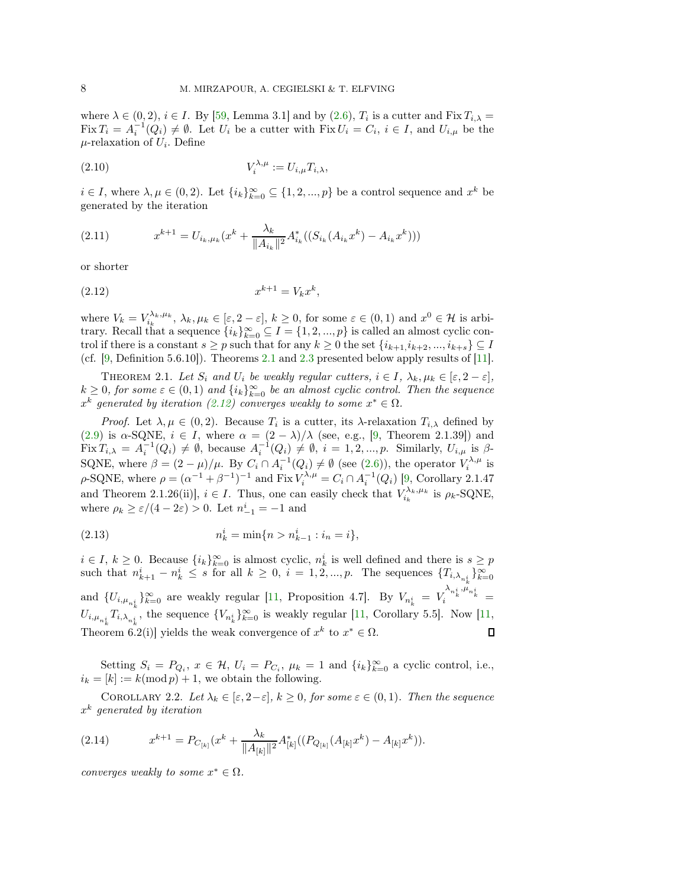where  $\lambda \in (0, 2), i \in I$ . By [\[59,](#page-22-22) Lemma 3.1] and by [\(2.6\)](#page-6-1),  $T_i$  is a cutter and Fix  $T_{i,\lambda} =$  $\text{Fix } T_i = A_i^{-1}(Q_i) \neq \emptyset$ . Let  $U_i$  be a cutter with  $\text{Fix } U_i = C_i$ ,  $i \in I$ , and  $U_{i,\mu}$  be the  $\mu$ -relaxation of  $U_i$ . Define

$$
(2.10) \t\t V_i^{\lambda,\mu} := U_{i,\mu} T_{i,\lambda},
$$

 $i \in I$ , where  $\lambda, \mu \in (0, 2)$ . Let  $\{i_k\}_{k=0}^{\infty} \subseteq \{1, 2, ..., p\}$  be a control sequence and  $x^k$  be generated by the iteration

<span id="page-7-3"></span>(2.11) 
$$
x^{k+1} = U_{i_k, \mu_k}(x^k + \frac{\lambda_k}{\|A_{i_k}\|^2} A_{i_k}^*((S_{i_k}(A_{i_k}x^k) - A_{i_k}x^k)))
$$

or shorter

<span id="page-7-1"></span>(2.12) 
$$
x^{k+1} = V_k x^k,
$$

where  $V_k = V_{i_k}^{\lambda_k, \mu_k}, \lambda_k, \mu_k \in [\varepsilon, 2-\varepsilon], k \ge 0$ , for some  $\varepsilon \in (0, 1)$  and  $x^0 \in \mathcal{H}$  is arbitrary. Recall that a sequence  $\{i_k\}_{k=0}^{\infty} \subseteq I = \{1, 2, ..., p\}$  is called an almost cyclic control if there is a constant  $s \geq p$  such that for any  $k \geq 0$  the set  $\{i_{k+1}, i_{k+2}, ..., i_{k+s}\} \subseteq I$ (cf. [\[9,](#page-21-4) Definition 5.6.10]). Theorems [2.1](#page-7-0) and [2.3](#page-8-0) presented below apply results of [\[11\]](#page-21-21).

<span id="page-7-0"></span>THEOREM 2.1. Let  $S_i$  and  $U_i$  be weakly regular cutters,  $i \in I$ ,  $\lambda_k, \mu_k \in [\varepsilon, 2-\varepsilon]$ ,  $k \geq 0$ , for some  $\varepsilon \in (0,1)$  and  $\{i_k\}_{k=0}^{\infty}$  be an almost cyclic control. Then the sequence  $x^k$  generated by iteration [\(2.12\)](#page-7-1) converges weakly to some  $x^* \in \Omega$ .

*Proof.* Let  $\lambda, \mu \in (0, 2)$ . Because  $T_i$  is a cutter, its  $\lambda$ -relaxation  $T_{i,\lambda}$  defined by [\(2.9\)](#page-6-2) is  $\alpha$ -SQNE,  $i \in I$ , where  $\alpha = (2 - \lambda)/\lambda$  (see, e.g., [\[9,](#page-21-4) Theorem 2.1.39]) and Fix  $T_{i,\lambda} = A_i^{-1}(Q_i) \neq \emptyset$ , because  $A_i^{-1}(Q_i) \neq \emptyset$ ,  $i = 1, 2, ..., p$ . Similarly,  $U_{i,\mu}$  is  $\beta$ -SQNE, where  $\beta = (2 - \mu)/\mu$ . By  $C_i \cap A_i^{-1}(Q_i) \neq \emptyset$  (see [\(2.6\)](#page-6-1)), the operator  $V_i^{\lambda,\mu}$  is  $\rho$ -SQNE, where  $\rho = (\alpha^{-1} + \beta^{-1})^{-1}$  and Fix  $V_i^{\lambda,\mu} = C_i \cap A_i^{-1}(Q_i)$  [\[9,](#page-21-4) Corollary 2.1.47 and Theorem 2.1.26(ii)],  $i \in I$ . Thus, one can easily check that  $V_{i_k}^{\lambda_k, \mu_k}$  is  $\rho_k$ -SQNE, where  $\rho_k \ge \varepsilon/(4-2\varepsilon) > 0$ . Let  $n_{-1}^i = -1$  and

(2.13) 
$$
n_k^i = \min\{n > n_{k-1}^i : i_n = i\},\
$$

 $i \in I, k \ge 0$ . Because  $\{i_k\}_{k=0}^{\infty}$  is almost cyclic,  $n_k^i$  is well defined and there is  $s \ge p$ such that  $n_{k+1}^i - n_k^i \leq s$  for all  $k \geq 0$ ,  $i = 1, 2, ..., p$ . The sequences  $\{T_{i, \lambda_{n_k}^i}\}_{k=0}^{\infty}$ and  $\{U_{i,\mu_{n_k}^{i}}\}_{k=0}^{\infty}$  are weakly regular [\[11,](#page-21-21) Proposition 4.7]. By  $V_{n_k}^{i} = V_i^{\lambda_{n_k}^{i},\mu_{n_k}^{i}} =$  $U_{i,\mu_{n_k^i}}T_{i,\lambda_{n_k^i}}$ , the sequence  $\{V_{n_k^i}\}_{k=0}^{\infty}$  is weakly regular [\[11,](#page-21-21) Corollary 5.5]. Now [11, Theorem 6.2(i)] yields the weak convergence of  $x^k$  to  $x^* \in \Omega$ . П

Setting  $S_i = P_{Q_i}$ ,  $x \in \mathcal{H}$ ,  $U_i = P_{C_i}$ ,  $\mu_k = 1$  and  $\{i_k\}_{k=0}^{\infty}$  a cyclic control, i.e.,  $i_k = [k] := k \pmod{p} + 1$ , we obtain the following.

COROLLARY 2.2. Let  $\lambda_k \in [\varepsilon, 2-\varepsilon], k \geq 0$ , for some  $\varepsilon \in (0,1)$ . Then the sequence  $x^k$  generated by iteration

<span id="page-7-2"></span>(2.14) 
$$
x^{k+1} = P_{C_{[k]}}(x^k + \frac{\lambda_k}{\|A_{[k]}\|^2} A_{[k]}^*((P_{Q_{[k]}}(A_{[k]}x^k) - A_{[k]}x^k)).
$$

converges weakly to some  $x^* \in \Omega$ .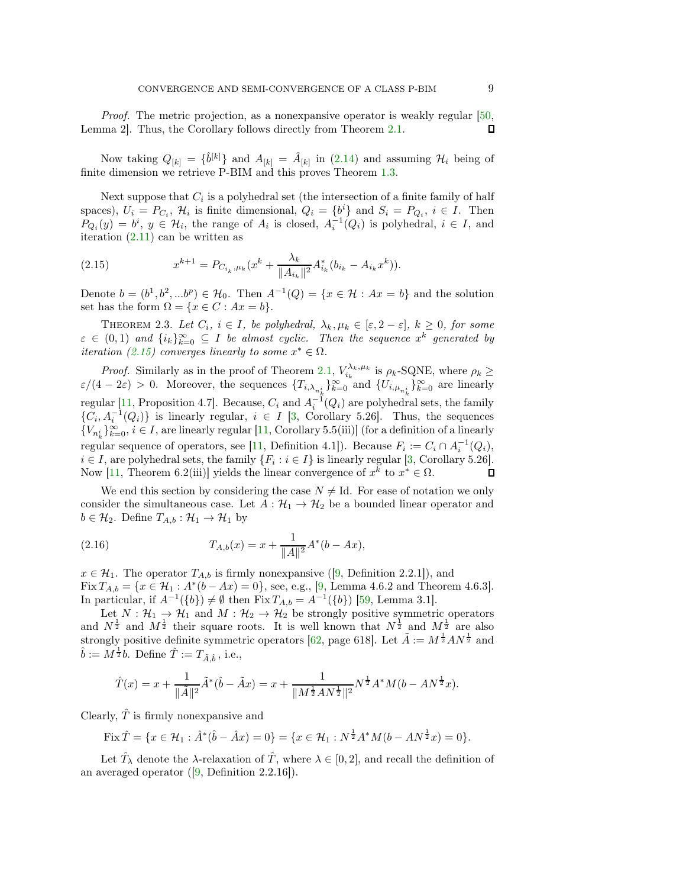Proof. The metric projection, as a nonexpansive operator is weakly regular [\[50,](#page-22-26) Lemma 2]. Thus, the Corollary follows directly from Theorem [2.1.](#page-7-0) Л

Now taking  $Q_{[k]} = \{\hat{b}^{[k]}\}\$  and  $A_{[k]} = \hat{A}_{[k]}$  in [\(2.14\)](#page-7-2) and assuming  $\mathcal{H}_i$  being of finite dimension we retrieve P-BIM and this proves Theorem [1.3.](#page-4-0)

Next suppose that  $C_i$  is a polyhedral set (the intersection of a finite family of half spaces),  $U_i = P_{C_i}$ ,  $\mathcal{H}_i$  is finite dimensional,  $Q_i = \{b^i\}$  and  $S_i = P_{Q_i}$ ,  $i \in I$ . Then  $P_{Q_i}(y) = b^i, y \in \mathcal{H}_i$ , the range of  $A_i$  is closed,  $A_i^{-1}(Q_i)$  is polyhedral,  $i \in I$ , and iteration [\(2.11\)](#page-7-3) can be written as

<span id="page-8-1"></span>(2.15) 
$$
x^{k+1} = P_{C_{i_k}, \mu_k}(x^k + \frac{\lambda_k}{\|A_{i_k}\|^2} A_{i_k}^*(b_{i_k} - A_{i_k}x^k)).
$$

<span id="page-8-0"></span>Denote  $b = (b^1, b^2, ...b^p) \in \mathcal{H}_0$ . Then  $A^{-1}(Q) = \{x \in \mathcal{H} : Ax = b\}$  and the solution set has the form  $\Omega = \{x \in C : Ax = b\}.$ 

THEOREM 2.3. Let  $C_i$ ,  $i \in I$ , be polyhedral,  $\lambda_k, \mu_k \in [\varepsilon, 2-\varepsilon]$ ,  $k \geq 0$ , for some  $\varepsilon \in (0,1)$  and  $\{i_k\}_{k=0}^{\infty} \subseteq I$  be almost cyclic. Then the sequence  $x^k$  generated by *iteration [\(2.15\)](#page-8-1)* converges linearly to some  $x^* \in \Omega$ .

*Proof.* Similarly as in the proof of Theorem [2.1,](#page-7-0)  $V_{i_k}^{\lambda_k,\mu_k}$  is  $\rho_k$ -SQNE, where  $\rho_k \geq$  $\varepsilon/(4-2\varepsilon) > 0$ . Moreover, the sequences  $\{T_{i,\lambda_{n_k^i}}\}_{k=0}^{\infty}$  and  $\{U_{i,\mu_{n_k^i}}\}_{k=0}^{\infty}$  are linearly regular [\[11,](#page-21-21) Proposition 4.7]. Because,  $C_i$  and  $A_i^{-1}(Q_i)$  are polyhedral sets, the family  $\{C_i, A_i^{-1}(Q_i)\}\$ is linearly regular,  $i \in I$  [\[3,](#page-20-1) Corollary 5.26]. Thus, the sequences  ${V_{n_k^i}\}_{k=0}^{\infty}$ ,  $i \in I$ , are linearly regular [\[11,](#page-21-21) Corollary 5.5(iii)] (for a definition of a linearly regular sequence of operators, see [\[11,](#page-21-21) Definition 4.1]). Because  $F_i := C_i \cap A_i^{-1}(Q_i)$ ,  $i \in I$ , are polyhedral sets, the family  $\{F_i : i \in I\}$  is linearly regular [\[3,](#page-20-1) Corollary 5.26]. Now [\[11,](#page-21-21) Theorem 6.2(iii)] yields the linear convergence of  $x^k$  to  $x^* \in \Omega$ .

We end this section by considering the case  $N \neq Id$ . For ease of notation we only consider the simultaneous case. Let  $A: \mathcal{H}_1 \to \mathcal{H}_2$  be a bounded linear operator and  $b \in \mathcal{H}_2$ . Define  $T_{A,b} : \mathcal{H}_1 \to \mathcal{H}_1$  by

(2.16) 
$$
T_{A,b}(x) = x + \frac{1}{\|A\|^2} A^*(b - Ax),
$$

 $x \in \mathcal{H}_1$ . The operator  $T_{A,b}$  is firmly nonexpansive ([\[9,](#page-21-4) Definition 2.2.1]), and Fix  $T_{A,b} = \{x \in \mathcal{H}_1 : A^*(b - Ax) = 0\}$ , see, e.g., [\[9,](#page-21-4) Lemma 4.6.2 and Theorem 4.6.3]. In particular, if  $A^{-1}(\{b\}) \neq \emptyset$  then  $\text{Fix } T_{A,b} = A^{-1}(\{b\})$  [\[59,](#page-22-22) Lemma 3.1].

Let  $N : \mathcal{H}_1 \to \mathcal{H}_1$  and  $M : \mathcal{H}_2 \to \mathcal{H}_2$  be strongly positive symmetric operators and  $N^{\frac{1}{2}}$  and  $M^{\frac{1}{2}}$  their square roots. It is well known that  $N^{\frac{1}{2}}$  and  $M^{\frac{1}{2}}$  are also strongly positive definite symmetric operators [\[62,](#page-22-27) page 618]. Let  $\tilde{A} := M^{\frac{1}{2}} A N^{\frac{1}{2}}$  and  $\hat{b} := M^{\frac{1}{2}}b$ . Define  $\hat{T} := T_{\tilde{A}, \hat{b}}$ , i.e.,

$$
\hat{T}(x) = x + \frac{1}{\|\tilde{A}\|^2} \tilde{A}^*(\hat{b} - \tilde{A}x) = x + \frac{1}{\|M^{\frac{1}{2}}AN^{\frac{1}{2}}\|^2} N^{\frac{1}{2}}A^*M(b - AN^{\frac{1}{2}}x).
$$

Clearly,  $\hat{T}$  is firmly nonexpansive and

Fix 
$$
\hat{T} = \{x \in \mathcal{H}_1 : \hat{A}^*(\hat{b} - \hat{A}x) = 0\} = \{x \in \mathcal{H}_1 : N^{\frac{1}{2}}A^*M(b - AN^{\frac{1}{2}}x) = 0\}.
$$

Let  $\hat{T}_{\lambda}$  denote the  $\lambda$ -relaxation of  $\hat{T}$ , where  $\lambda \in [0, 2]$ , and recall the definition of an averaged operator ([\[9,](#page-21-4) Definition 2.2.16]).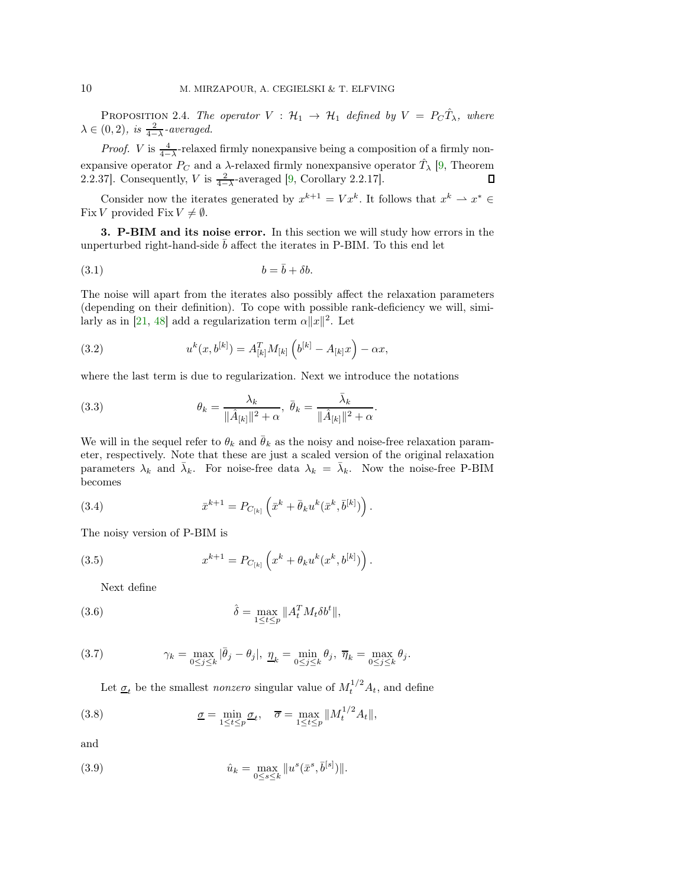PROPOSITION 2.4. The operator  $V : H_1 \rightarrow H_1$  defined by  $V = P_C \hat{T}_{\lambda}$ , where  $\lambda \in (0, 2)$ , is  $\frac{2}{4-\lambda}$ -averaged.

*Proof. V* is  $\frac{4}{4-\lambda}$ -relaxed firmly nonexpansive being a composition of a firmly nonexpansive operator  $P_C$  and a  $\lambda$ -relaxed firmly nonexpansive operator  $\hat{T}_{\lambda}$  [\[9,](#page-21-4) Theorem 2.2.37]. Consequently, V is  $\frac{2}{4-\lambda}$ -averaged [\[9,](#page-21-4) Corollary 2.2.17].

Consider now the iterates generated by  $x^{k+1} = V x^k$ . It follows that  $x^k \to x^* \in$ Fix V provided Fix  $V \neq \emptyset$ .

<span id="page-9-0"></span>3. P-BIM and its noise error. In this section we will study how errors in the unperturbed right-hand-side  $\bar{b}$  affect the iterates in P-BIM. To this end let

$$
(3.1) \t\t b = \bar{b} + \delta b.
$$

The noise will apart from the iterates also possibly affect the relaxation parameters (depending on their definition). To cope with possible rank-deficiency we will, simi-larly as in [\[21,](#page-21-18) [48\]](#page-22-16) add a regularization term  $\alpha ||x||^2$ . Let

(3.2) 
$$
u^{k}(x,b^{[k]}) = A_{[k]}^{T} M_{[k]} \left( b^{[k]} - A_{[k]} x \right) - \alpha x,
$$

where the last term is due to regularization. Next we introduce the notations

(3.3) 
$$
\theta_k = \frac{\lambda_k}{\|\hat{A}_{[k]}\|^2 + \alpha}, \ \bar{\theta}_k = \frac{\bar{\lambda}_k}{\|\hat{A}_{[k]}\|^2 + \alpha}.
$$

We will in the sequel refer to  $\theta_k$  and  $\bar{\theta}_k$  as the noisy and noise-free relaxation parameter, respectively. Note that these are just a scaled version of the original relaxation parameters  $\lambda_k$  and  $\bar{\lambda}_k$ . For noise-free data  $\lambda_k = \bar{\lambda}_k$ . Now the noise-free P-BIM becomes

<span id="page-9-3"></span>(3.4) 
$$
\bar{x}^{k+1} = P_{C_{[k]}} \left( \bar{x}^k + \bar{\theta}_k u^k (\bar{x}^k, \bar{b}^{[k]}) \right).
$$

The noisy version of P-BIM is

(3.5) 
$$
x^{k+1} = P_{C_{[k]}} \left( x^k + \theta_k u^k (x^k, b^{[k]}) \right).
$$

<span id="page-9-5"></span><span id="page-9-4"></span>Next define

(3.6) 
$$
\hat{\delta} = \max_{1 \leq t \leq p} ||A_t^T M_t \delta b^t||,
$$

(3.7) 
$$
\gamma_k = \max_{0 \le j \le k} |\bar{\theta}_j - \theta_j|, \ \underline{\eta}_k = \min_{0 \le j \le k} \theta_j, \ \overline{\eta}_k = \max_{0 \le j \le k} \theta_j.
$$

Let  $\underline{\sigma}_t$  be the smallest *nonzero* singular value of  $M_t^{1/2} A_t$ , and define

(3.8) 
$$
\underline{\sigma} = \min_{1 \leq t \leq p} \underline{\sigma}_t, \quad \overline{\sigma} = \max_{1 \leq t \leq p} ||M_t^{1/2} A_t||,
$$

and

<span id="page-9-2"></span><span id="page-9-1"></span>(3.9) 
$$
\hat{u}_k = \max_{0 \le s \le k} ||u^s(\bar{x}^s, \bar{b}^{[s]})||.
$$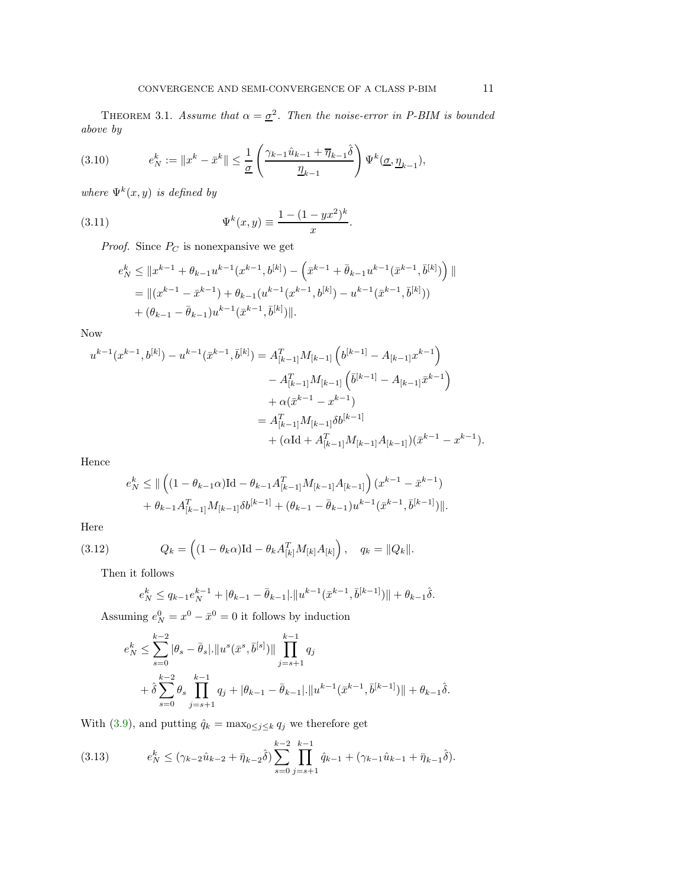THEOREM 3.1. Assume that  $\alpha = \underline{\sigma}^2$ . Then the noise-error in P-BIM is bounded above by

<span id="page-10-1"></span>(3.10) 
$$
e_N^k := \|x^k - \bar{x}^k\| \le \frac{1}{\underline{\sigma}} \left( \frac{\gamma_{k-1} \hat{u}_{k-1} + \overline{\eta}_{k-1} \hat{\delta}}{\underline{\eta}_{k-1}} \right) \Psi^k(\underline{\sigma}, \underline{\eta}_{k-1}),
$$

where  $\Psi^k(x, y)$  is defined by

(3.11) 
$$
\Psi^{k}(x, y) \equiv \frac{1 - (1 - yx^{2})^{k}}{x}.
$$

*Proof.* Since  $P_C$  is nonexpansive we get

<span id="page-10-0"></span>
$$
e_N^k \leq ||x^{k-1} + \theta_{k-1}u^{k-1}(x^{k-1}, b^{[k]}) - (\bar{x}^{k-1} + \bar{\theta}_{k-1}u^{k-1}(\bar{x}^{k-1}, \bar{b}^{[k]}) ) ||
$$
  
=  $||(x^{k-1} - \bar{x}^{k-1}) + \theta_{k-1}(u^{k-1}(x^{k-1}, b^{[k]}) - u^{k-1}(\bar{x}^{k-1}, \bar{b}^{[k]}))$   
+  $(\theta_{k-1} - \bar{\theta}_{k-1})u^{k-1}(\bar{x}^{k-1}, \bar{b}^{[k]})||.$ 

Now

$$
u^{k-1}(x^{k-1},b^{[k]}) - u^{k-1}(\bar{x}^{k-1},\bar{b}^{[k]}) = A_{[k-1]}^T M_{[k-1]} \left( b^{[k-1]} - A_{[k-1]} x^{k-1} \right)
$$
  

$$
- A_{[k-1]}^T M_{[k-1]} \left( \bar{b}^{[k-1]} - A_{[k-1]} \bar{x}^{k-1} \right)
$$
  

$$
+ \alpha (\bar{x}^{k-1} - x^{k-1})
$$
  

$$
= A_{[k-1]}^T M_{[k-1]} \delta b^{[k-1]}
$$
  

$$
+ (\alpha \mathrm{Id} + A_{[k-1]}^T M_{[k-1]} A_{[k-1]})(\bar{x}^{k-1} - x^{k-1}).
$$

Hence

$$
e_N^k \leq ||\left( (1 - \theta_{k-1}\alpha)\mathrm{Id} - \theta_{k-1}A_{[k-1]}^T M_{[k-1]}A_{[k-1]}\right)(x^{k-1} - \bar{x}^{k-1})
$$
  
+  $\theta_{k-1}A_{[k-1]}^T M_{[k-1]}\delta b^{[k-1]} + (\theta_{k-1} - \bar{\theta}_{k-1})u^{k-1}(\bar{x}^{k-1}, \bar{b}^{[k-1]})||.$ 

Here

(3.12) 
$$
Q_k = \left( (1 - \theta_k \alpha) \mathrm{Id} - \theta_k A_{[k]}^T M_{[k]} A_{[k]} \right), \quad q_k = ||Q_k||.
$$

Then it follows

$$
e_N^k \le q_{k-1} e_N^{k-1} + |\theta_{k-1}-\bar\theta_{k-1}| \cdot \|u^{k-1}(\bar x^{k-1},\bar b^{[k-1]})\| + \theta_{k-1} \hat\delta.
$$

Assuming  $e_N^0 = x^0 - \bar{x}^0 = 0$  it follows by induction

$$
e_N^k \leq \sum_{s=0}^{k-2} |\theta_s - \bar{\theta}_s| \cdot ||u^s(\bar{x}^s, \bar{b}^{[s]})|| \prod_{j=s+1}^{k-1} q_j
$$
  
+  $\hat{\delta} \sum_{s=0}^{k-2} \theta_s \prod_{j=s+1}^{k-1} q_j + |\theta_{k-1} - \bar{\theta}_{k-1}| \cdot ||u^{k-1}(\bar{x}^{k-1}, \bar{b}^{[k-1]})|| + \theta_{k-1}\hat{\delta}.$ 

With [\(3.9\)](#page-9-1), and putting  $\hat{q}_k = \max_{0 \leq j \leq k} q_j$  we therefore get

$$
(3.13) \qquad e_N^k \le (\gamma_{k-2}\hat{u}_{k-2} + \bar{\eta}_{k-2}\hat{\delta}) \sum_{s=0}^{k-2} \prod_{j=s+1}^{k-1} \hat{q}_{k-1} + (\gamma_{k-1}\hat{u}_{k-1} + \bar{\eta}_{k-1}\hat{\delta}).
$$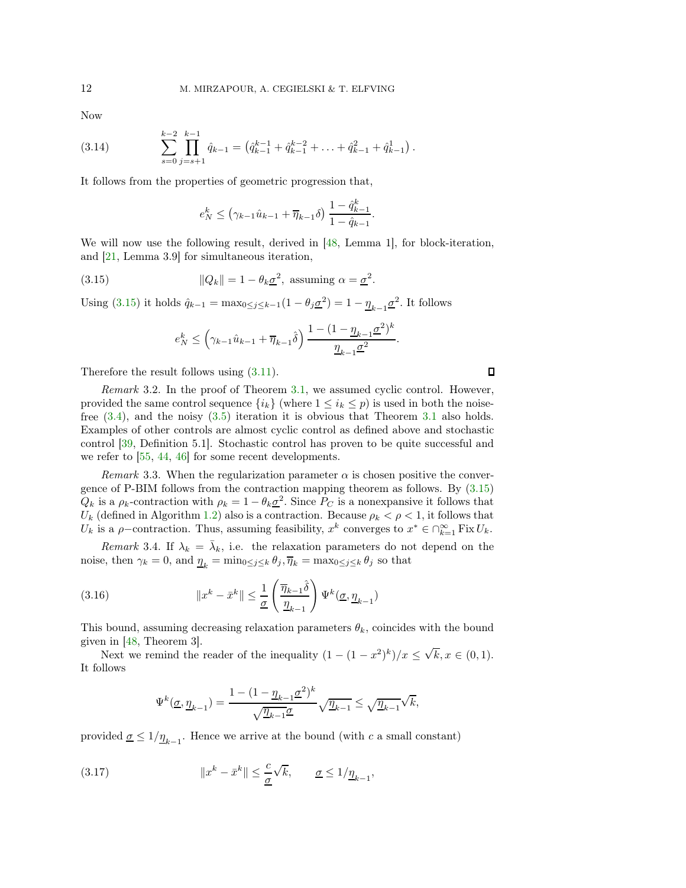Now

$$
(3.14) \qquad \sum_{s=0}^{k-2} \prod_{j=s+1}^{k-1} \hat{q}_{k-1} = \left( \hat{q}_{k-1}^{k-1} + \hat{q}_{k-1}^{k-2} + \ldots + \hat{q}_{k-1}^2 + \hat{q}_{k-1}^1 \right).
$$

It follows from the properties of geometric progression that,

$$
e_N^k \leq (\gamma_{k-1}\hat{u}_{k-1} + \overline{\eta}_{k-1}\delta) \frac{1 - \hat{q}_{k-1}^k}{1 - \hat{q}_{k-1}}.
$$

We will now use the following result, derived in [\[48,](#page-22-16) Lemma 1], for block-iteration, and [\[21,](#page-21-18) Lemma 3.9] for simultaneous iteration,

(3.15) 
$$
||Q_k|| = 1 - \theta_k \underline{\sigma}^2, \text{ assuming } \alpha = \underline{\sigma}^2.
$$

Using [\(3.15\)](#page-11-1) it holds  $\hat{q}_{k-1} = \max_{0 \le j \le k-1} (1 - \theta_j \underline{\sigma}^2) = 1 - \underline{\eta}_{k-1} \underline{\sigma}^2$ . It follows

<span id="page-11-1"></span>
$$
e_N^k \le \left(\gamma_{k-1}\hat{u}_{k-1} + \overline{\eta}_{k-1}\hat{\delta}\right) \frac{1 - (1 - \underline{\eta}_{k-1}\underline{\sigma}^2)^k}{\underline{\eta}_{k-1}\underline{\sigma}^2}.
$$

Therefore the result follows using [\(3.11\)](#page-10-0).

Remark 3.2. In the proof of Theorem [3.1,](#page-9-2) we assumed cyclic control. However, provided the same control sequence  $\{i_k\}$  (where  $1 \leq i_k \leq p$ ) is used in both the noisefree [\(3.4\)](#page-9-3), and the noisy [\(3.5\)](#page-9-4) iteration it is obvious that Theorem [3.1](#page-9-2) also holds. Examples of other controls are almost cyclic control as defined above and stochastic control [\[39,](#page-22-28) Definition 5.1]. Stochastic control has proven to be quite successful and we refer to [\[55,](#page-22-4) [44,](#page-22-2) [46\]](#page-22-3) for some recent developments.

Remark 3.3. When the regularization parameter  $\alpha$  is chosen positive the convergence of P-BIM follows from the contraction mapping theorem as follows. By [\(3.15\)](#page-11-1)  $Q_k$  is a  $\rho_k$ -contraction with  $\rho_k = 1 - \theta_k \underline{\sigma}^2$ . Since  $P_C$  is a nonexpansive it follows that  $U_k$  (defined in Algorithm [1.2\)](#page-3-1) also is a contraction. Because  $\rho_k < \rho < 1$ , it follows that U<sub>k</sub> is a  $\rho$ -contraction. Thus, assuming feasibility,  $x^k$  converges to  $x^* \in \bigcap_{k=1}^{\infty} Fix U_k$ .

Remark 3.4. If  $\lambda_k = \bar{\lambda}_k$ , i.e. the relaxation parameters do not depend on the noise, then  $\gamma_k = 0$ , and  $\underline{\eta}_k = \min_{0 \le j \le k} \theta_j$ ,  $\overline{\eta}_k = \max_{0 \le j \le k} \theta_j$  so that

(3.16) 
$$
||x^{k} - \bar{x}^{k}|| \leq \frac{1}{\underline{\sigma}} \left( \frac{\overline{\eta}_{k-1} \hat{\delta}}{\underline{\eta}_{k-1}} \right) \Psi^{k}(\underline{\sigma}, \underline{\eta}_{k-1})
$$

This bound, assuming decreasing relaxation parameters  $\theta_k$ , coincides with the bound given in [\[48,](#page-22-16) Theorem 3].

Next we remind the reader of the inequality  $(1 - (1 - x^2)^k)/x \le \sqrt{k}, x \in (0, 1)$ . It follows

<span id="page-11-0"></span>
$$
\Psi^k(\underline{\sigma},\underline{\eta}_{k-1})=\frac{1-(1-\underline{\eta}_{k-1}\underline{\sigma}^2)^k}{\sqrt{\underline{\eta}_{k-1}}\underline{\sigma}}\sqrt{\underline{\eta}_{k-1}}\leq \sqrt{\underline{\eta}_{k-1}}\sqrt{k},
$$

provided  $\underline{\sigma} \leq 1/\underline{\eta}_{k-1}$ . Hence we arrive at the bound (with c a small constant)

(3.17) 
$$
||x^k - \bar{x}^k|| \leq \frac{c}{\underline{\sigma}}\sqrt{k}, \qquad \underline{\sigma} \leq 1/\underline{\eta}_{k-1},
$$

 $\Box$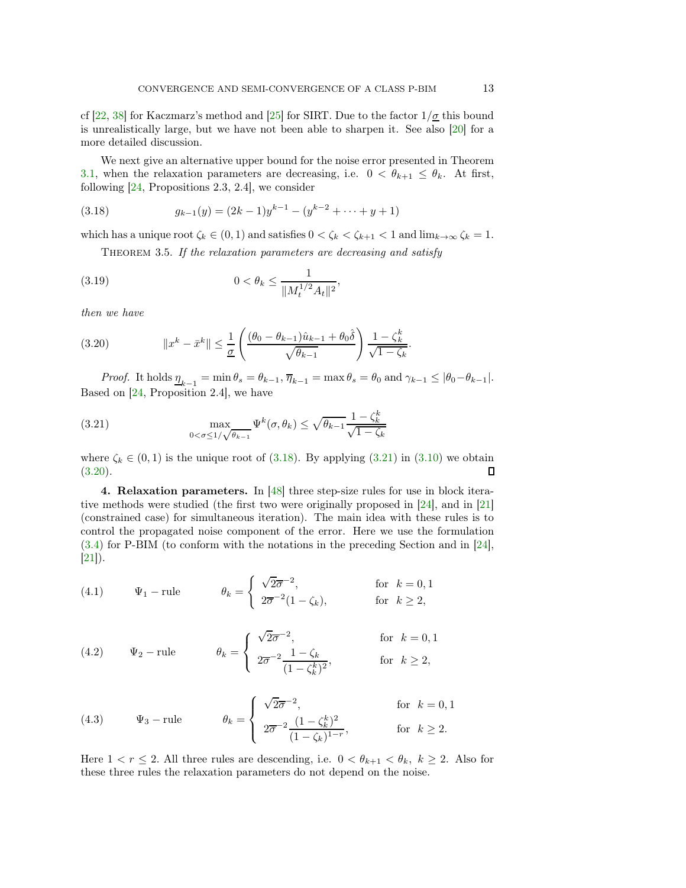cf [\[22,](#page-21-19) [38\]](#page-22-19) for Kaczmarz's method and [\[25\]](#page-21-8) for SIRT. Due to the factor  $1/\underline{\sigma}$  this bound is unrealistically large, but we have not been able to sharpen it. See also [\[20\]](#page-21-3) for a more detailed discussion.

We next give an alternative upper bound for the noise error presented in Theorem [3.1,](#page-9-2) when the relaxation parameters are decreasing, i.e.  $0 < \theta_{k+1} \leq \theta_k$ . At first, following [\[24,](#page-21-17) Propositions 2.3, 2.4], we consider

(3.18) 
$$
g_{k-1}(y) = (2k-1)y^{k-1} - (y^{k-2} + \dots + y + 1)
$$

which has a unique root  $\zeta_k \in (0,1)$  and satisfies  $0 < \zeta_k < \zeta_{k+1} < 1$  and  $\lim_{k\to\infty} \zeta_k = 1$ .

<span id="page-12-4"></span><span id="page-12-1"></span>THEOREM 3.5. If the relaxation parameters are decreasing and satisfy

(3.19) 
$$
0 < \theta_k \le \frac{1}{\|M_t^{1/2} A_t\|^2},
$$

then we have

<span id="page-12-3"></span>(3.20) 
$$
||x^{k} - \bar{x}^{k}|| \leq \frac{1}{\underline{\sigma}} \left( \frac{(\theta_{0} - \theta_{k-1})\hat{u}_{k-1} + \theta_{0}\hat{\delta}}{\sqrt{\theta_{k-1}}} \right) \frac{1 - \zeta_{k}^{k}}{\sqrt{1 - \zeta_{k}}}.
$$

Proof. It holds  $\underline{\eta}_{k-1} = \min \theta_s = \theta_{k-1}, \overline{\eta}_{k-1} = \max \theta_s = \theta_0$  and  $\gamma_{k-1} \leq |\theta_0 - \theta_{k-1}|$ . Based on [\[24,](#page-21-17) Proposition 2.4], we have

<span id="page-12-2"></span>(3.21) 
$$
\max_{0<\sigma\leq 1/\sqrt{\theta_{k-1}}} \Psi^k(\sigma,\theta_k) \leq \sqrt{\theta_{k-1}} \frac{1-\zeta_k^k}{\sqrt{1-\zeta_k}}
$$

where  $\zeta_k \in (0,1)$  is the unique root of [\(3.18\)](#page-12-1). By applying [\(3.21\)](#page-12-2) in [\(3.10\)](#page-10-1) we obtain (3.20).  $(3.20).$  $(3.20).$ 

<span id="page-12-0"></span>4. Relaxation parameters. In [\[48\]](#page-22-16) three step-size rules for use in block iterative methods were studied (the first two were originally proposed in [\[24\]](#page-21-17), and in [\[21\]](#page-21-18) (constrained case) for simultaneous iteration). The main idea with these rules is to control the propagated noise component of the error. Here we use the formulation [\(3.4\)](#page-9-3) for P-BIM (to conform with the notations in the preceding Section and in [\[24\]](#page-21-17), [\[21\]](#page-21-18)).

(4.1) 
$$
\Psi_1 - \text{rule} \qquad \theta_k = \begin{cases} \sqrt{2\overline{\sigma}}^{-2}, & \text{for } k = 0, 1 \\ 2\overline{\sigma}^{-2}(1 - \zeta_k), & \text{for } k \ge 2, \end{cases}
$$

(4.2) 
$$
\Psi_2 - \text{rule} \qquad \theta_k = \begin{cases} \sqrt{2\sigma}^{-2}, & \text{for } k = 0, 1 \\ 2\overline{\sigma}^{-2} \frac{1 - \zeta_k}{(1 - \zeta_k^k)^2}, & \text{for } k \ge 2, \end{cases}
$$

(4.3) 
$$
\Psi_3 - \text{rule} \qquad \theta_k = \begin{cases} \sqrt{2\sigma}^{-2}, & \text{for } k = 0, 1 \\ 2\overline{\sigma}^{-2} \frac{(1 - \zeta_k^k)^2}{(1 - \zeta_k)^{1 - r}}, & \text{for } k \ge 2. \end{cases}
$$

Here  $1 < r \leq 2$ . All three rules are descending, i.e.  $0 < \theta_{k+1} < \theta_k$ ,  $k \geq 2$ . Also for these three rules the relaxation parameters do not depend on the noise.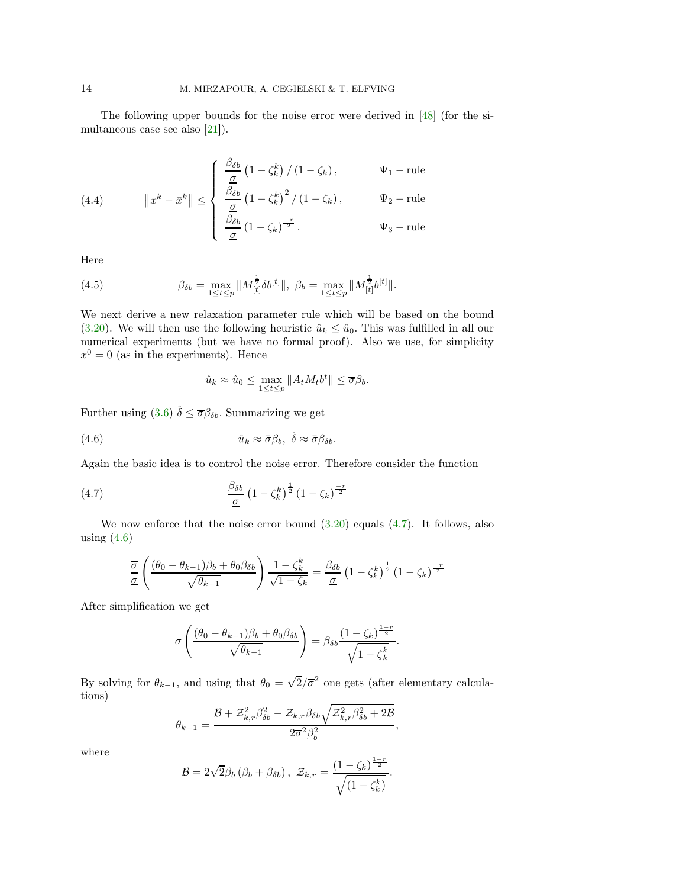The following upper bounds for the noise error were derived in [\[48\]](#page-22-16) (for the simultaneous case see also [\[21\]](#page-21-18)).

(4.4) 
$$
||x^{k} - \bar{x}^{k}|| \le \begin{cases} \frac{\beta_{\delta b}}{\underline{\sigma}} \left(1 - \zeta_{k}^{k}\right) / \left(1 - \zeta_{k}\right), & \Psi_{1} - \text{rule} \\ \frac{\beta_{\delta b}}{\underline{\sigma}} \left(1 - \zeta_{k}^{k}\right)^{2} / \left(1 - \zeta_{k}\right), & \Psi_{2} - \text{rule} \\ \frac{\beta_{\delta b}}{\underline{\sigma}} \left(1 - \zeta_{k}\right)^{\frac{-r}{2}}. & \Psi_{3} - \text{rule} \end{cases}
$$

Here

(4.5) 
$$
\beta_{\delta b} = \max_{1 \leq t \leq p} \| M_{[t]}^{\frac{1}{2}} \delta b^{[t]} \|, \ \beta_b = \max_{1 \leq t \leq p} \| M_{[t]}^{\frac{1}{2}} b^{[t]} \|.
$$

We next derive a new relaxation parameter rule which will be based on the bound [\(3.20\)](#page-12-3). We will then use the following heuristic  $\hat{u}_k \leq \hat{u}_0$ . This was fulfilled in all our numerical experiments (but we have no formal proof). Also we use, for simplicity  $x^0 = 0$  (as in the experiments). Hence

<span id="page-13-1"></span><span id="page-13-0"></span>
$$
\hat{u}_k \approx \hat{u}_0 \le \max_{1 \le t \le p} \|A_t M_t b^t\| \le \overline{\sigma} \beta_b.
$$

Further using [\(3.6\)](#page-9-5)  $\hat{\delta} \leq \overline{\sigma} \beta_{\delta b}$ . Summarizing we get

(4.6) 
$$
\hat{u}_k \approx \bar{\sigma} \beta_b, \ \hat{\delta} \approx \bar{\sigma} \beta_{\delta b}.
$$

Again the basic idea is to control the noise error. Therefore consider the function

(4.7) 
$$
\frac{\beta_{\delta b}}{\underline{\sigma}} \left(1 - \zeta_k^k\right)^{\frac{1}{2}} \left(1 - \zeta_k\right)^{\frac{-r}{2}}
$$

We now enforce that the noise error bound  $(3.20)$  equals  $(4.7)$ . It follows, also using  $(4.6)$ 

$$
\frac{\overline{\sigma}}{\underline{\sigma}}\left(\frac{(\theta_0 - \theta_{k-1})\beta_b + \theta_0\beta_{\delta b}}{\sqrt{\theta_{k-1}}}\right)\frac{1 - \zeta_k^k}{\sqrt{1 - \zeta_k}} = \frac{\beta_{\delta b}}{\underline{\sigma}}\left(1 - \zeta_k^k\right)^{\frac{1}{2}}\left(1 - \zeta_k\right)^{\frac{-r}{2}}
$$

After simplification we get

$$
\overline{\sigma}\left(\frac{(\theta_0-\theta_{k-1})\beta_b+\theta_0\beta_{\delta b}}{\sqrt{\theta_{k-1}}}\right)=\beta_{\delta b}\frac{(1-\zeta_k)^{\frac{1-r}{2}}}{\sqrt{1-\zeta_k^k}}.
$$

By solving for  $\theta_{k-1}$ , and using that  $\theta_0 = \sqrt{2}/\overline{\sigma}^2$  one gets (after elementary calculations)

$$
\theta_{k-1} = \frac{\mathcal{B} + \mathcal{Z}_{k,r}^2 \beta_{\delta b}^2 - \mathcal{Z}_{k,r} \beta_{\delta b} \sqrt{\mathcal{Z}_{k,r}^2 \beta_{\delta b}^2 + 2\mathcal{B}}}{2\overline{\sigma}^2 \beta_b^2},
$$

where

$$
\mathcal{B} = 2\sqrt{2}\beta_b \left(\beta_b + \beta_{\delta b}\right), \ \mathcal{Z}_{k,r} = \frac{\left(1 - \zeta_k\right)^{\frac{1-r}{2}}}{\sqrt{\left(1 - \zeta_k^k\right)}}.
$$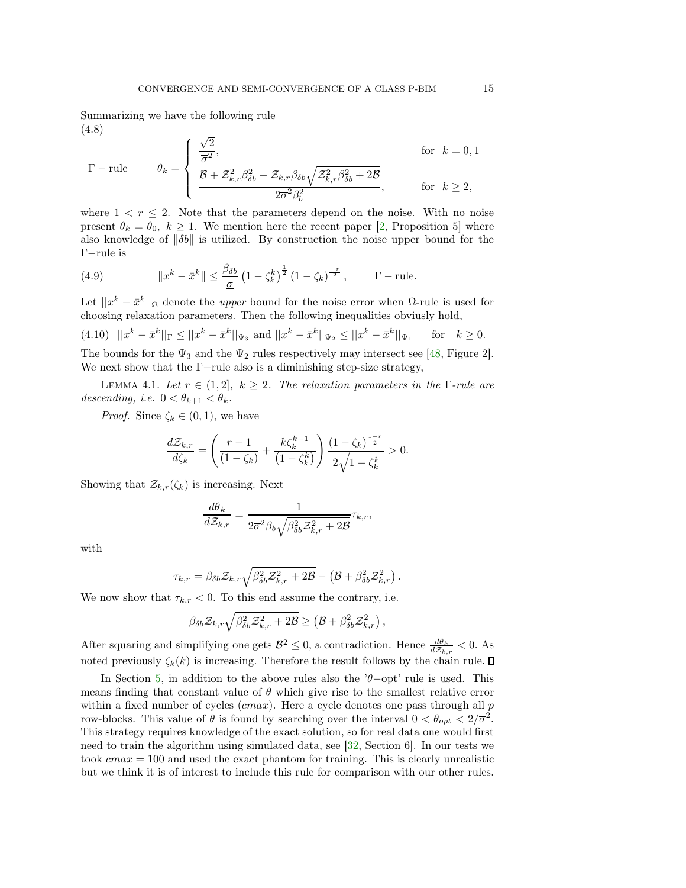Summarizing we have the following rule (4.8)

$$
\Gamma - \text{rule} \qquad \theta_k = \begin{cases} \frac{\sqrt{2}}{\overline{\sigma}^2}, & \text{for } k = 0, 1\\ \frac{\mathcal{B} + \mathcal{Z}_{k,r}^2 \beta_{\delta b}^2 - \mathcal{Z}_{k,r} \beta_{\delta b} \sqrt{\mathcal{Z}_{k,r}^2 \beta_{\delta b}^2 + 2\mathcal{B}}}{2\overline{\sigma}^2 \beta_b^2}, & \text{for } k \ge 2, \end{cases}
$$

where  $1 < r \leq 2$ . Note that the parameters depend on the noise. With no noise present  $\theta_k = \theta_0, k \ge 1$ . We mention here the recent paper [\[2,](#page-20-3) Proposition 5] where also knowledge of  $\|\delta b\|$  is utilized. By construction the noise upper bound for the Γ−rule is

(4.9) 
$$
||x^{k} - \bar{x}^{k}|| \le \frac{\beta_{\delta b}}{\underline{\sigma}} \left(1 - \zeta_{k}^{k}\right)^{\frac{1}{2}} \left(1 - \zeta_{k}\right)^{\frac{-r}{2}}, \qquad \Gamma - \text{rule.}
$$

Let  $||x^k - \bar{x}^k||_{\Omega}$  denote the *upper* bound for the noise error when  $\Omega$ -rule is used for choosing relaxation parameters. Then the following inequalities obviusly hold,

$$
(4.10) \quad ||x^k - \bar{x}^k||_{\Gamma} \le ||x^k - \bar{x}^k||_{\Psi_3} \text{ and } ||x^k - \bar{x}^k||_{\Psi_2} \le ||x^k - \bar{x}^k||_{\Psi_1} \quad \text{for} \quad k \ge 0.
$$

The bounds for the  $\Psi_3$  and the  $\Psi_2$  rules respectively may intersect see [\[48,](#page-22-16) Figure 2]. We next show that the  $\Gamma$ -rule also is a diminishing step-size strategy,

LEMMA 4.1. Let  $r \in (1,2], k \geq 2$ . The relaxation parameters in the Γ-rule are descending, i.e.  $0 < \theta_{k+1} < \theta_k$ .

*Proof.* Since  $\zeta_k \in (0,1)$ , we have

$$
\frac{d\mathcal{Z}_{k,r}}{d\zeta_k} = \left(\frac{r-1}{(1-\zeta_k)} + \frac{k\zeta_k^{k-1}}{(1-\zeta_k^k)}\right) \frac{(1-\zeta_k)^{\frac{1-r}{2}}}{2\sqrt{1-\zeta_k^k}} > 0.
$$

Showing that  $\mathcal{Z}_{k,r}(\zeta_k)$  is increasing. Next

$$
\frac{d\theta_k}{d\mathcal{Z}_{k,r}} = \frac{1}{2\overline{\sigma}^2 \beta_b \sqrt{\beta_{\delta b}^2 \mathcal{Z}_{k,r}^2 + 2\mathcal{B}}} \tau_{k,r},
$$

with

$$
\tau_{k,r} = \beta_{\delta b} \mathcal{Z}_{k,r} \sqrt{\beta_{\delta b}^2 \mathcal{Z}_{k,r}^2 + 2\mathcal{B} - (\mathcal{B} + \beta_{\delta b}^2 \mathcal{Z}_{k,r}^2) .}
$$

We now show that  $\tau_{k,r} < 0$ . To this end assume the contrary, i.e.

$$
\beta_{\delta b} \mathcal{Z}_{k,r} \sqrt{\beta_{\delta b}^2 \mathcal{Z}_{k,r}^2 + 2\mathcal{B}} \geq \left(\mathcal{B} + \beta_{\delta b}^2 \mathcal{Z}_{k,r}^2\right),
$$

After squaring and simplifying one gets  $\mathcal{B}^2 \leq 0$ , a contradiction. Hence  $\frac{d\theta_k}{d\mathcal{Z}_{k,r}} < 0$ . As noted previously  $\zeta_k(k)$  is increasing. Therefore the result follows by the chain rule.

In Section [5,](#page-15-0) in addition to the above rules also the ' $\theta$ −opt' rule is used. This means finding that constant value of  $\theta$  which give rise to the smallest relative error within a fixed number of cycles  $(max)$ . Here a cycle denotes one pass through all p row-blocks. This value of  $\theta$  is found by searching over the interval  $0 < \theta_{opt} < 2/\overline{\sigma}^2$ . This strategy requires knowledge of the exact solution, so for real data one would first need to train the algorithm using simulated data, see [\[32,](#page-21-5) Section 6]. In our tests we took  $cmax = 100$  and used the exact phantom for training. This is clearly unrealistic but we think it is of interest to include this rule for comparison with our other rules.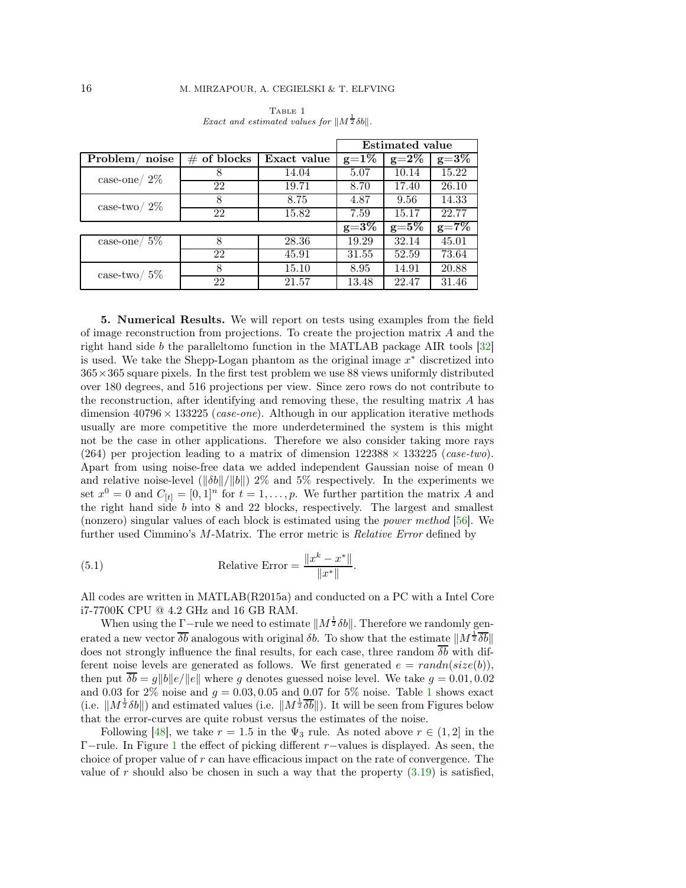<span id="page-15-1"></span>

|                            |                |             | <b>Estimated value</b> |           |           |
|----------------------------|----------------|-------------|------------------------|-----------|-----------|
| Problem/<br>noise          | $\#$ of blocks | Exact value | $g=1\%$                | $g = 2\%$ | $g=3\%$   |
| $case-one/ 2\%$            | 8              | 14.04       | 5.07                   | 10.14     | 15.22     |
|                            | 22             | 19.71       | 8.70                   | 17.40     | 26.10     |
| case-two/ $2\%$            | 8              | 8.75        | 4.87                   | 9.56      | 14.33     |
|                            | 22             | 15.82       | 7.59                   | 15.17     | 22.77     |
|                            |                |             | $g=3\%$                | $g=5\%$   | $g = 7\%$ |
| $\,\case\text{-one}/\,5\%$ | 8              | 28.36       | 19.29                  | 32.14     | 45.01     |
|                            | 22             | 45.91       | 31.55                  | 52.59     | 73.64     |
| case-two/ $5\%$            | 8              | 15.10       | 8.95                   | 14.91     | 20.88     |
|                            | 22             | 21.57       | 13.48                  | 22.47     | 31.46     |

TABLE 1 *Exact and estimated values for*  $||M^{\frac{1}{2}}\delta b||$ .

<span id="page-15-0"></span>5. Numerical Results. We will report on tests using examples from the field of image reconstruction from projections. To create the projection matrix A and the right hand side b the paralleltomo function in the MATLAB package AIR tools [\[32\]](#page-21-5) is used. We take the Shepp-Logan phantom as the original image  $x^*$  discretized into  $365\times365$  square pixels. In the first test problem we use 88 views uniformly distributed over 180 degrees, and 516 projections per view. Since zero rows do not contribute to the reconstruction, after identifying and removing these, the resulting matrix A has dimension  $40796 \times 133225$  (*case-one*). Although in our application iterative methods usually are more competitive the more underdetermined the system is this might not be the case in other applications. Therefore we also consider taking more rays (264) per projection leading to a matrix of dimension  $122388 \times 133225$  (case-two). Apart from using noise-free data we added independent Gaussian noise of mean 0 and relative noise-level ( $\|\delta b\|/\|b\|$ ) 2% and 5% respectively. In the experiments we set  $x^0 = 0$  and  $C_{[t]} = [0, 1]^n$  for  $t = 1, \ldots, p$ . We further partition the matrix A and the right hand side  $b$  into  $8$  and  $22$  blocks, respectively. The largest and smallest (nonzero) singular values of each block is estimated using the power method [\[56\]](#page-22-29). We further used Cimmino's M-Matrix. The error metric is Relative Error defined by

(5.1) Relative Error = 
$$
\frac{\|x^k - x^*\|}{\|x^*\|}.
$$

All codes are written in MATLAB(R2015a) and conducted on a PC with a Intel Core i7-7700K CPU @ 4.2 GHz and 16 GB RAM.

When using the  $\underline{\Gamma}$ -rule we need to estimate  $||M^{\frac{1}{2}}\delta b||$ . Therefore we randomly generated a new vector  $\overline{\delta b}$  analogous with original  $\delta b$ . To show that the estimate  $||M^{\frac{1}{2}}\overline{\delta b}||$ does not strongly influence the final results, for each case, three random  $\overline{\delta b}$  with different noise levels are generated as follows. We first generated  $e = randn(size(b)),$ then put  $\overline{\delta b} = g||b||e/||e||$  where g denotes guessed noise level. We take  $g = 0.01, 0.02$ and 0.03 for 2\% noise and  $q = 0.03, 0.05$  and 0.07 for 5\% noise. Table [1](#page-15-1) shows exact (i.e.  $||M^{\frac{1}{2}}\delta b||$ ) and estimated values (i.e.  $||M^{\frac{1}{2}}\overline{\delta b}||$ ). It will be seen from Figures below that the error-curves are quite robust versus the estimates of the noise.

Following [\[48\]](#page-22-16), we take  $r = 1.5$  in the  $\Psi_3$  rule. As noted above  $r \in (1, 2]$  in the Γ−rule. In Figure [1](#page-16-1) the effect of picking different r−values is displayed. As seen, the choice of proper value of r can have efficacious impact on the rate of convergence. The value of r should also be chosen in such a way that the property  $(3.19)$  is satisfied,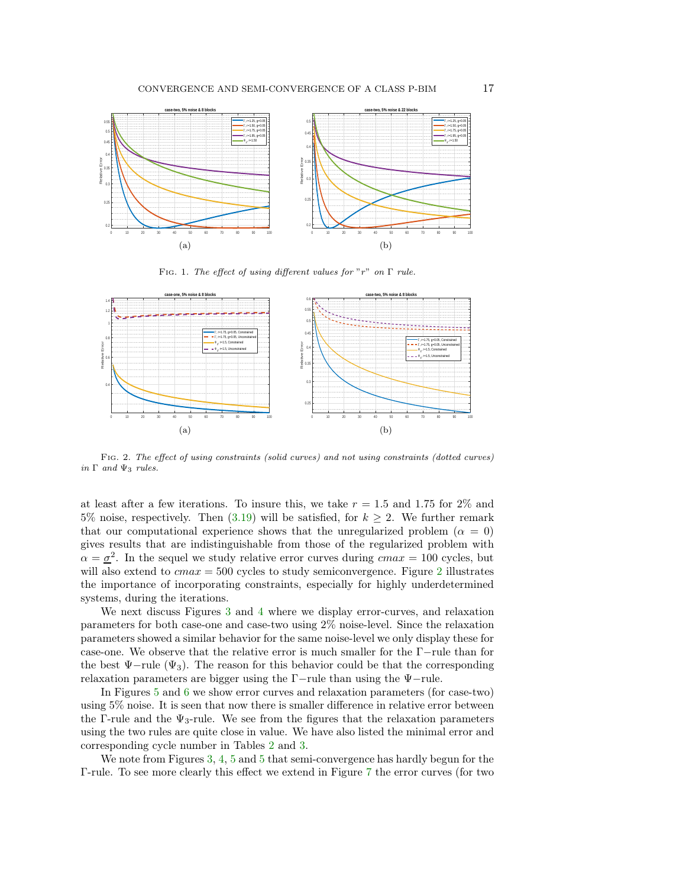<span id="page-16-1"></span>

FIG. 1. The effect of using different values for "r" on  $\Gamma$  rule.

<span id="page-16-0"></span>

Fig. 2. The effect of using constraints (solid curves) and not using constraints (dotted curves) in  $\Gamma$  and  $\Psi_3$  rules.

at least after a few iterations. To insure this, we take  $r = 1.5$  and 1.75 for 2% and 5% noise, respectively. Then [\(3.19\)](#page-12-4) will be satisfied, for  $k \geq 2$ . We further remark that our computational experience shows that the unregularized problem ( $\alpha = 0$ ) gives results that are indistinguishable from those of the regularized problem with  $\alpha = \underline{\sigma}^2$ . In the sequel we study relative error curves during  $cmax = 100$  cycles, but will also extend to  $cmax = 500$  cycles to study semiconvergence. Figure [2](#page-16-0) illustrates the importance of incorporating constraints, especially for highly underdetermined systems, during the iterations.

We next discuss Figures [3](#page-17-0) and [4](#page-17-1) where we display error-curves, and relaxation parameters for both case-one and case-two using 2% noise-level. Since the relaxation parameters showed a similar behavior for the same noise-level we only display these for case-one. We observe that the relative error is much smaller for the Γ−rule than for the best  $\Psi$ -rule ( $\Psi_3$ ). The reason for this behavior could be that the corresponding relaxation parameters are bigger using the Γ−rule than using the Ψ−rule.

In Figures [5](#page-18-0) and [6](#page-18-1) we show error curves and relaxation parameters (for case-two) using 5% noise. It is seen that now there is smaller difference in relative error between the Γ-rule and the  $\Psi_3$ -rule. We see from the figures that the relaxation parameters using the two rules are quite close in value. We have also listed the minimal error and corresponding cycle number in Tables [2](#page-17-2) and [3.](#page-19-0)

We note from Figures [3,](#page-17-0) [4,](#page-17-1) [5](#page-18-0) and 5 that semi-convergence has hardly begun for the Γ-rule. To see more clearly this effect we extend in Figure [7](#page-19-1) the error curves (for two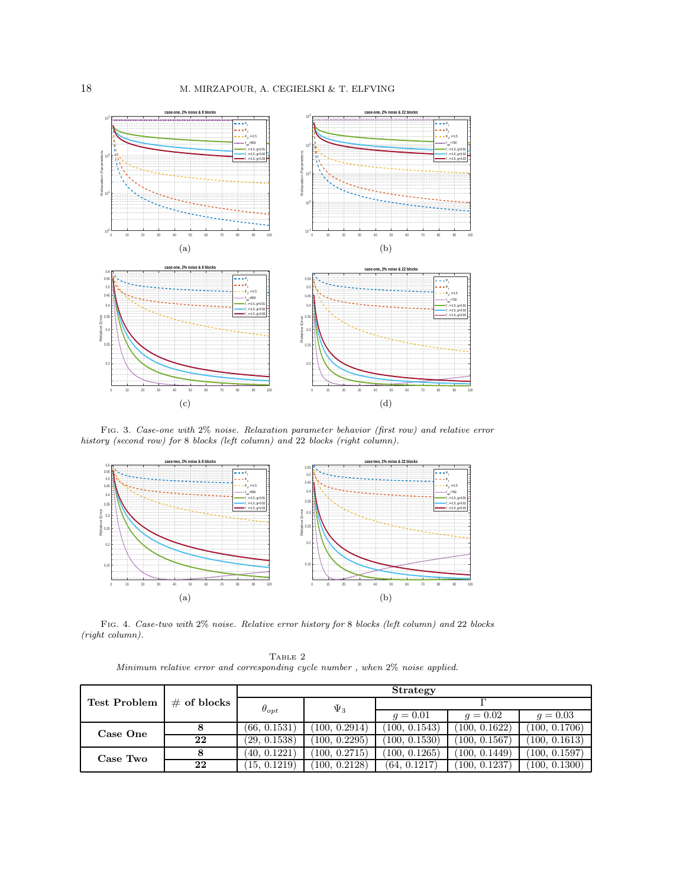<span id="page-17-0"></span>

Fig. 3. Case-one with 2% noise. Relaxation parameter behavior (first row) and relative error history (second row) for 8 blocks (left column) and 22 blocks (right column).

<span id="page-17-1"></span>

<span id="page-17-2"></span>Fig. 4. Case-two with 2% noise. Relative error history for 8 blocks (left column) and 22 blocks (right column).

TABLE 2 Minimum relative error and corresponding cycle number , when 2% noise applied.

|                     | $\#$ of blocks | <b>Strategy</b> |              |               |               |               |
|---------------------|----------------|-----------------|--------------|---------------|---------------|---------------|
| <b>Test Problem</b> |                | $\theta_{opt}$  | $\Psi_3$     |               |               |               |
|                     |                |                 |              | $q = 0.01$    | $q = 0.02$    | $q = 0.03$    |
| Case One            |                | (66, 0.1531)    | 100, 0.2914) | (100, 0.1543) | (100, 0.1622) | (100, 0.1706) |
|                     | 22             | (29, 0.1538)    | 100, 0.2295  | (100, 0.1530) | (100, 0.1567) | (100, 0.1613) |
| Case Two            |                | (40, 0.1221)    | 100, 0.2715  | (100, 0.1265) | (100, 0.1449) | (100, 0.1597) |
|                     | 22             | (15, 0.1219)    | 100, 0.2128  | (64, 0.1217)  | (100, 0.1237) | (100, 0.1300) |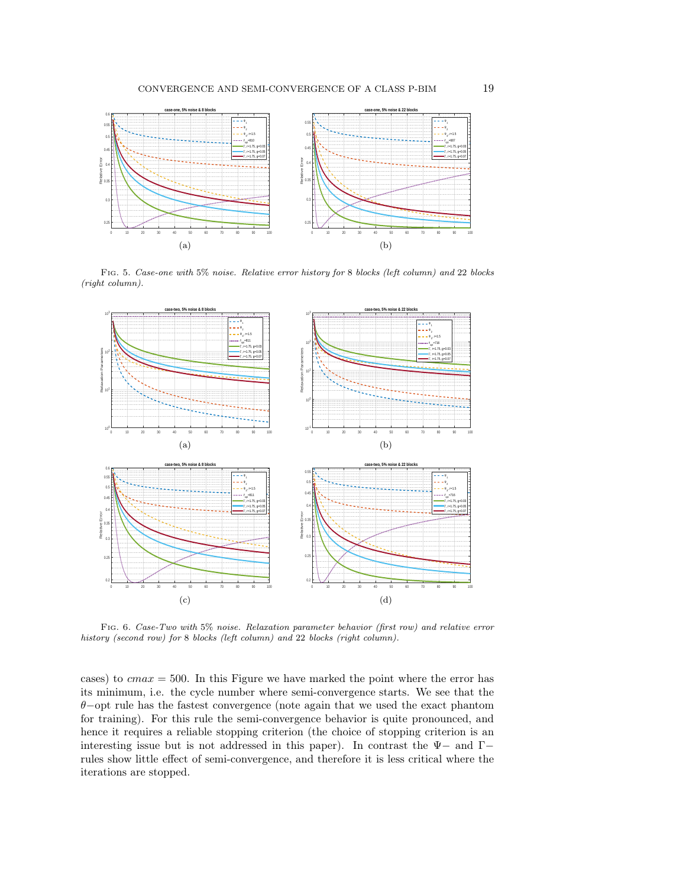<span id="page-18-0"></span>

Fig. 5. Case-one with 5% noise. Relative error history for 8 blocks (left column) and 22 blocks (right column).

<span id="page-18-1"></span>

Fig. 6. Case-Two with 5% noise. Relaxation parameter behavior (first row) and relative error history (second row) for 8 blocks (left column) and 22 blocks (right column).

cases) to  $cmax = 500$ . In this Figure we have marked the point where the error has its minimum, i.e. the cycle number where semi-convergence starts. We see that the θ−opt rule has the fastest convergence (note again that we used the exact phantom for training). For this rule the semi-convergence behavior is quite pronounced, and hence it requires a reliable stopping criterion (the choice of stopping criterion is an interesting issue but is not addressed in this paper). In contrast the  $\Psi$  – and  $\Gamma$ rules show little effect of semi-convergence, and therefore it is less critical where the iterations are stopped.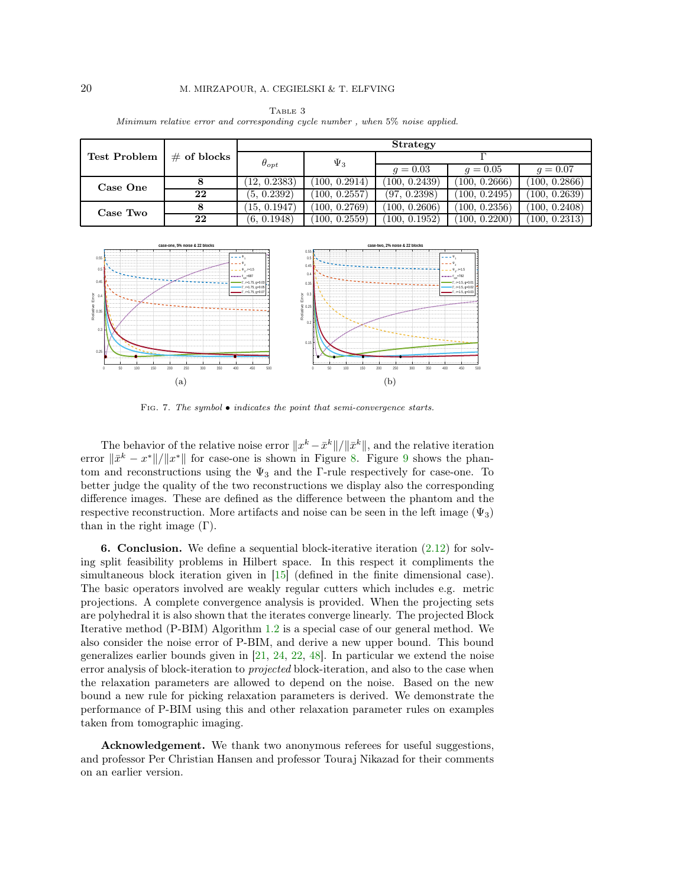<span id="page-19-0"></span>

|                     | $\#$ of blocks | <b>Strategy</b> |               |               |               |               |
|---------------------|----------------|-----------------|---------------|---------------|---------------|---------------|
| <b>Test Problem</b> |                | $\theta_{opt}$  | $\Psi_3$      |               |               |               |
|                     |                |                 |               | $q = 0.03$    | $q = 0.05$    | $q = 0.07$    |
| Case One            |                | (12, 0.2383)    | (100, 0.2914) | (100, 0.2439) | (100, 0.2666) | (100, 0.2866) |
|                     | 22             | (5, 0.2392)     | (100, 0.2557) | (97, 0.2398)  | (100, 0.2495) | (100, 0.2639) |
| Case Two            |                | (15, 0.1947)    | (100, 0.2769) | (100, 0.2606) | (100, 0.2356) | (100, 0.2408) |
|                     | 22             | (6, 0.1948)     | (100, 0.2559) | (100, 0.1952) | (100, 0.2200) | (100, 0.2313) |

Table 3 Minimum relative error and corresponding cycle number , when 5% noise applied.

<span id="page-19-1"></span>

FIG. 7. The symbol  $\bullet$  indicates the point that semi-convergence starts.

The behavior of the relative noise error  $||x^k - \bar{x}^k||/||\bar{x}^k||$ , and the relative iteration error  $\|\bar{x}^k - x^*\|/\|x^*\|$  for case-one is shown in Figure [8.](#page-20-4) Figure [9](#page-20-5) shows the phantom and reconstructions using the  $\Psi_3$  and the Γ-rule respectively for case-one. To better judge the quality of the two reconstructions we display also the corresponding difference images. These are defined as the difference between the phantom and the respective reconstruction. More artifacts and noise can be seen in the left image  $(\Psi_3)$ than in the right image  $(Γ)$ .

**6. Conclusion.** We define a sequential block-iterative iteration  $(2.12)$  for solving split feasibility problems in Hilbert space. In this respect it compliments the simultaneous block iteration given in [\[15\]](#page-21-25) (defined in the finite dimensional case). The basic operators involved are weakly regular cutters which includes e.g. metric projections. A complete convergence analysis is provided. When the projecting sets are polyhedral it is also shown that the iterates converge linearly. The projected Block Iterative method (P-BIM) Algorithm [1.2](#page-3-1) is a special case of our general method. We also consider the noise error of P-BIM, and derive a new upper bound. This bound generalizes earlier bounds given in [\[21,](#page-21-18) [24,](#page-21-17) [22,](#page-21-19) [48\]](#page-22-16). In particular we extend the noise error analysis of block-iteration to projected block-iteration, and also to the case when the relaxation parameters are allowed to depend on the noise. Based on the new bound a new rule for picking relaxation parameters is derived. We demonstrate the performance of P-BIM using this and other relaxation parameter rules on examples taken from tomographic imaging.

Acknowledgement. We thank two anonymous referees for useful suggestions, and professor Per Christian Hansen and professor Touraj Nikazad for their comments on an earlier version.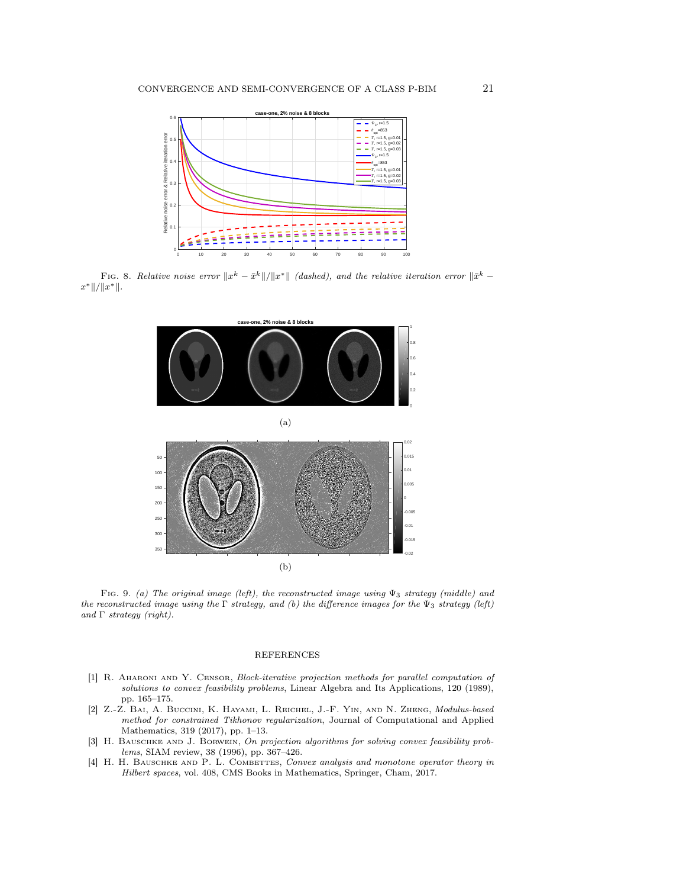<span id="page-20-4"></span>

<span id="page-20-5"></span>Fig. 8. Relative noise error  $||x^k - \bar{x}^k||/||x^*||$  (dashed), and the relative iteration error  $||\bar{x}^k$  $x^* \, || / ||x^* ||.$ 



Fig. 9. (a) The original image (left), the reconstructed image using  $\Psi_3$  strategy (middle) and the reconstructed image using the  $\Gamma$  strategy, and (b) the difference images for the  $\Psi_3$  strategy (left) and  $\Gamma$  strategy (right).

## REFERENCES

- <span id="page-20-0"></span>[1] R. Aharoni and Y. Censor, Block-iterative projection methods for parallel computation of solutions to convex feasibility problems, Linear Algebra and Its Applications, 120 (1989), pp. 165–175.
- <span id="page-20-3"></span>[2] Z.-Z. Bai, A. Buccini, K. Hayami, L. Reichel, J.-F. Yin, and N. Zheng, Modulus-based method for constrained Tikhonov regularization, Journal of Computational and Applied Mathematics, 319 (2017), pp. 1–13.
- <span id="page-20-1"></span>[3] H. BAUSCHKE AND J. BORWEIN, On projection algorithms for solving convex feasibility problems, SIAM review, 38 (1996), pp. 367–426.
- <span id="page-20-2"></span>[4] H. H. BAUSCHKE AND P. L. COMBETTES, Convex analysis and monotone operator theory in Hilbert spaces, vol. 408, CMS Books in Mathematics, Springer, Cham, 2017.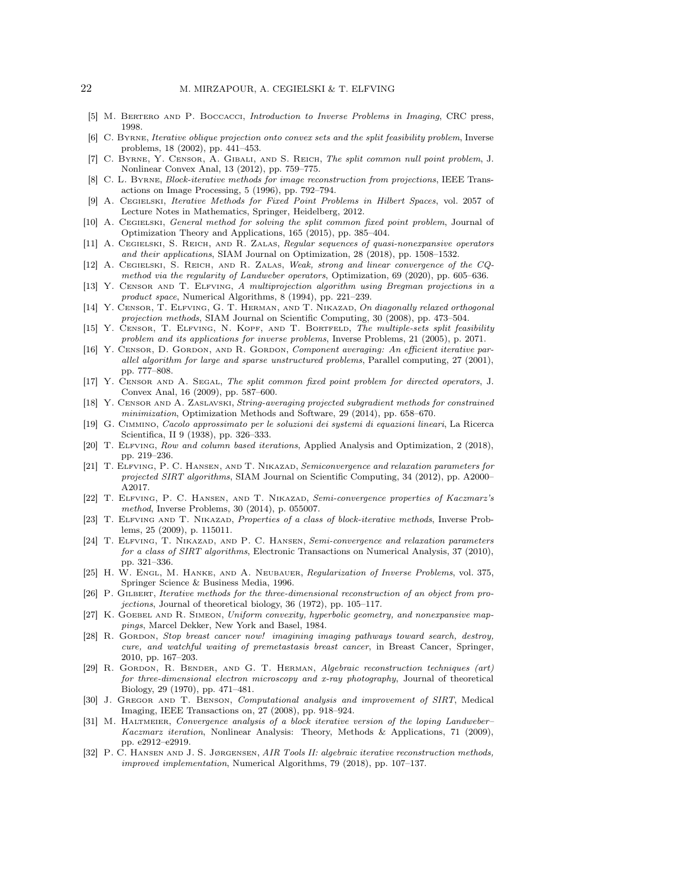- <span id="page-21-13"></span><span id="page-21-7"></span>[5] M. BERTERO AND P. BOCCACCI, Introduction to Inverse Problems in Imaging, CRC press, 1998.
- [6] C. Byrne, Iterative oblique projection onto convex sets and the split feasibility problem, Inverse problems, 18 (2002), pp. 441–453.
- <span id="page-21-27"></span>[7] C. Byrne, Y. Censor, A. Gibali, and S. Reich, The split common null point problem, J. Nonlinear Convex Anal, 13 (2012), pp. 759–775.
- <span id="page-21-14"></span>[8] C. L. Byrne, Block-iterative methods for image reconstruction from projections, IEEE Transactions on Image Processing, 5 (1996), pp. 792–794.
- <span id="page-21-4"></span>[9] A. Cegielski, Iterative Methods for Fixed Point Problems in Hilbert Spaces, vol. 2057 of Lecture Notes in Mathematics, Springer, Heidelberg, 2012.
- <span id="page-21-23"></span>[10] A. CEGIELSKI, General method for solving the split common fixed point problem, Journal of Optimization Theory and Applications, 165 (2015), pp. 385–404.
- <span id="page-21-21"></span>[11] A. Cegielski, S. Reich, and R. Zalas, Regular sequences of quasi-nonexpansive operators and their applications, SIAM Journal on Optimization, 28 (2018), pp. 1508–1532.
- <span id="page-21-24"></span>[12] A. Cegielski, S. Reich, and R. Zalas, Weak, strong and linear convergence of the CQmethod via the regularity of Landweber operators, Optimization, 69 (2020), pp. 605–636.
- <span id="page-21-22"></span>[13] Y. Censor and T. Elfving, A multiprojection algorithm using Bregman projections in a product space, Numerical Algorithms, 8 (1994), pp. 221–239.
- <span id="page-21-11"></span>[14] Y. CENSOR, T. ELFVING, G. T. HERMAN, AND T. NIKAZAD, On diagonally relaxed orthogonal projection methods, SIAM Journal on Scientific Computing, 30 (2008), pp. 473–504.
- <span id="page-21-25"></span>[15] Y. CENSOR, T. ELFVING, N. KOPF, AND T. BORTFELD, The multiple-sets split feasibility problem and its applications for inverse problems, Inverse Problems, 21 (2005), p. 2071.
- <span id="page-21-10"></span>[16] Y. CENSOR, D. GORDON, AND R. GORDON, Component averaging: An efficient iterative parallel algorithm for large and sparse unstructured problems, Parallel computing, 27 (2001), pp. 777–808.
- <span id="page-21-26"></span>[17] Y. Censor and A. Segal, The split common fixed point problem for directed operators, J. Convex Anal, 16 (2009), pp. 587–600.
- <span id="page-21-16"></span>[18] Y. CENSOR AND A. ZASLAVSKI, String-averaging projected subgradient methods for constrained minimization, Optimization Methods and Software, 29 (2014), pp. 658–670.
- <span id="page-21-9"></span>[19] G. Cimmino, Cacolo approssimato per le soluzioni dei systemi di equazioni lineari, La Ricerca Scientifica, II 9 (1938), pp. 326–333.
- <span id="page-21-3"></span>[20] T. Elfving, Row and column based iterations, Applied Analysis and Optimization, 2 (2018), pp. 219–236.
- <span id="page-21-18"></span>[21] T. Elfving, P. C. Hansen, and T. Nikazad, Semiconvergence and relaxation parameters for projected SIRT algorithms, SIAM Journal on Scientific Computing, 34 (2012), pp. A2000– A2017.
- <span id="page-21-19"></span>[22] T. Elfving, P. C. Hansen, and T. Nikazad, Semi-convergence properties of Kaczmarz's method, Inverse Problems, 30 (2014), p. 055007.
- <span id="page-21-12"></span>[23] T. ELFVING AND T. NIKAZAD, Properties of a class of block-iterative methods, Inverse Problems, 25 (2009), p. 115011.
- <span id="page-21-17"></span>[24] T. Elfving, T. Nikazad, and P. C. Hansen, Semi-convergence and relaxation parameters for a class of SIRT algorithms, Electronic Transactions on Numerical Analysis, 37 (2010), pp. 321–336.
- <span id="page-21-8"></span>[25] H. W. Engl, M. Hanke, and A. Neubauer, Regularization of Inverse Problems, vol. 375, Springer Science & Business Media, 1996.
- <span id="page-21-2"></span>[26] P. GILBERT, Iterative methods for the three-dimensional reconstruction of an object from projections, Journal of theoretical biology, 36 (1972), pp. 105–117.
- <span id="page-21-20"></span>[27] K. GOEBEL AND R. SIMEON, Uniform convexity, hyperbolic geometry, and nonexpansive mappings, Marcel Dekker, New York and Basel, 1984.
- <span id="page-21-1"></span>[28] R. Gordon, Stop breast cancer now! imagining imaging pathways toward search, destroy, cure, and watchful waiting of premetastasis breast cancer, in Breast Cancer, Springer, 2010, pp. 167–203.
- <span id="page-21-0"></span>[29] R. Gordon, R. Bender, and G. T. Herman, Algebraic reconstruction techniques (art) for three-dimensional electron microscopy and x-ray photography, Journal of theoretical Biology, 29 (1970), pp. 471–481.
- <span id="page-21-6"></span>[30] J. GREGOR AND T. BENSON, Computational analysis and improvement of SIRT, Medical Imaging, IEEE Transactions on, 27 (2008), pp. 918–924.
- <span id="page-21-15"></span>[31] M. HALTMEIER, Convergence analysis of a block iterative version of the loping Landweber– Kaczmarz iteration, Nonlinear Analysis: Theory, Methods & Applications, 71 (2009), pp. e2912–e2919.
- <span id="page-21-5"></span>[32] P. C. Hansen and J. S. Jørgensen, AIR Tools II: algebraic iterative reconstruction methods, improved implementation, Numerical Algorithms, 79 (2018), pp. 107–137.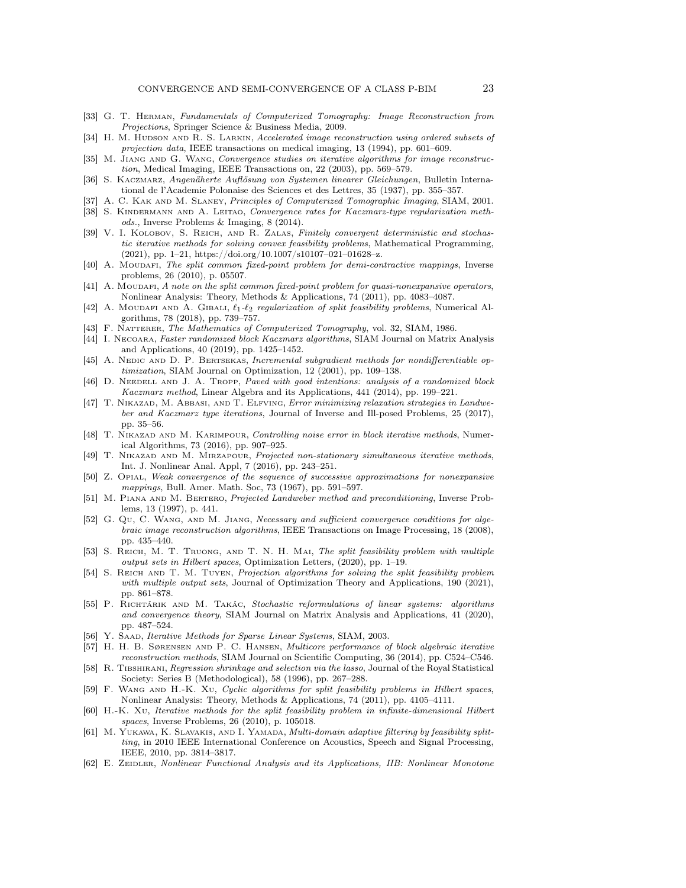- <span id="page-22-1"></span>[33] G. T. Herman, Fundamentals of Computerized Tomography: Image Reconstruction from Projections, Springer Science & Business Media, 2009.
- <span id="page-22-12"></span>[34] H. M. HUDSON AND R. S. LARKIN, Accelerated image reconstruction using ordered subsets of projection data, IEEE transactions on medical imaging, 13 (1994), pp. 601–609.
- <span id="page-22-13"></span>[35] M. JIANG AND G. WANG, Convergence studies on iterative algorithms for image reconstruction, Medical Imaging, IEEE Transactions on, 22 (2003), pp. 569–579.
- <span id="page-22-0"></span>[36] S. Kaczmarz, Angenäherte Auflösung von Systemen linearer Gleichungen, Bulletin International de l'Academie Polonaise des Sciences et des Lettres, 35 (1937), pp. 355–357.
- <span id="page-22-19"></span><span id="page-22-6"></span>[37] A. C. KAK AND M. SLANEY, Principles of Computerized Tomographic Imaging, SIAM, 2001.
- [38] S. Kindermann and A. Leitao, Convergence rates for Kaczmarz-type regularization methods., Inverse Problems & Imaging, 8 (2014).
- <span id="page-22-28"></span>[39] V. I. KOLOBOV, S. REICH, AND R. ZALAS, Finitely convergent deterministic and stochastic iterative methods for solving convex feasibility problems, Mathematical Programming, (2021), pp. 1–21, https://doi.org/10.1007/s10107–021–01628–z.
- <span id="page-22-9"></span>[40] A. Moudafi, The split common fixed-point problem for demi-contractive mappings, Inverse problems, 26 (2010), p. 05507.
- <span id="page-22-20"></span>[41] A. Moudafi, A note on the split common fixed-point problem for quasi-nonexpansive operators, Nonlinear Analysis: Theory, Methods & Applications, 74 (2011), pp. 4083–4087.
- <span id="page-22-25"></span>[42] A. MOUDAFI AND A. GIBALI,  $\ell_1$ - $\ell_2$  regularization of split feasibility problems, Numerical Algorithms, 78 (2018), pp. 739–757.
- <span id="page-22-18"></span><span id="page-22-2"></span>[43] F. NATTERER, The Mathematics of Computerized Tomography, vol. 32, SIAM, 1986.
- [44] I. Necoara, Faster randomized block Kaczmarz algorithms, SIAM Journal on Matrix Analysis and Applications, 40 (2019), pp. 1425–1452.
- <span id="page-22-17"></span>[45] A. NEDIC AND D. P. BERTSEKAS, Incremental subgradient methods for nondifferentiable optimization, SIAM Journal on Optimization, 12 (2001), pp. 109–138.
- <span id="page-22-3"></span>[46] D. NEEDELL AND J. A. TROPP, Paved with good intentions: analysis of a randomized block Kaczmarz method, Linear Algebra and its Applications, 441 (2014), pp. 199–221.
- <span id="page-22-11"></span>[47] T. NIKAZAD, M. ABBASI, AND T. ELFVING, *Error minimizing relaxation strategies in Landwe*ber and Kaczmarz type iterations, Journal of Inverse and Ill-posed Problems, 25 (2017), pp. 35–56.
- <span id="page-22-16"></span>[48] T. NIKAZAD AND M. KARIMPOUR, Controlling noise error in block iterative methods, Numerical Algorithms, 73 (2016), pp. 907–925.
- <span id="page-22-7"></span>[49] T. NIKAZAD AND M. MIRZAPOUR, Projected non-stationary simultaneous iterative methods, Int. J. Nonlinear Anal. Appl, 7 (2016), pp. 243–251.
- <span id="page-22-26"></span>[50] Z. Opial, Weak convergence of the sequence of successive approximations for nonexpansive mappings, Bull. Amer. Math. Soc, 73 (1967), pp. 591–597.
- <span id="page-22-8"></span>[51] M. PIANA AND M. BERTERO, Projected Landweber method and preconditioning, Inverse Problems, 13 (1997), p. 441.
- <span id="page-22-5"></span>[52] G. Qu, C. WANG, AND M. JIANG, Necessary and sufficient convergence conditions for algebraic image reconstruction algorithms, IEEE Transactions on Image Processing, 18 (2008), pp. 435–440.
- <span id="page-22-14"></span>[53] S. Reich, M. T. Truong, and T. N. H. Mai, The split feasibility problem with multiple output sets in Hilbert spaces, Optimization Letters, (2020), pp. 1–19.
- <span id="page-22-23"></span>[54] S. REICH AND T. M. TUYEN, Projection algorithms for solving the split feasibility problem with multiple output sets, Journal of Optimization Theory and Applications, 190 (2021), pp. 861–878.
- <span id="page-22-4"></span>[55] P. Richtárik and M. Takác, Stochastic reformulations of linear systems: algorithms and convergence theory, SIAM Journal on Matrix Analysis and Applications, 41 (2020), pp. 487–524.
- <span id="page-22-29"></span><span id="page-22-10"></span>[56] Y. SAAD, Iterative Methods for Sparse Linear Systems, SIAM, 2003.
- [57] H. H. B. Sørensen and P. C. Hansen, Multicore performance of block algebraic iterative reconstruction methods, SIAM Journal on Scientific Computing, 36 (2014), pp. C524–C546.
- <span id="page-22-24"></span>[58] R. Tibshirani, Regression shrinkage and selection via the lasso, Journal of the Royal Statistical Society: Series B (Methodological), 58 (1996), pp. 267–288.
- <span id="page-22-22"></span>[59] F. WANG AND H.-K. Xu, Cyclic algorithms for split feasibility problems in Hilbert spaces, Nonlinear Analysis: Theory, Methods & Applications, 74 (2011), pp. 4105–4111.
- <span id="page-22-21"></span>[60] H.-K. Xu, Iterative methods for the split feasibility problem in infinite-dimensional Hilbert spaces, Inverse Problems, 26 (2010), p. 105018.
- <span id="page-22-15"></span>[61] M. YUKAWA, K. SLAVAKIS, AND I. YAMADA, *Multi-domain adaptive filtering by feasibility split*ting, in 2010 IEEE International Conference on Acoustics, Speech and Signal Processing, IEEE, 2010, pp. 3814–3817.
- <span id="page-22-27"></span>[62] E. ZEIDLER, Nonlinear Functional Analysis and its Applications, IIB: Nonlinear Monotone